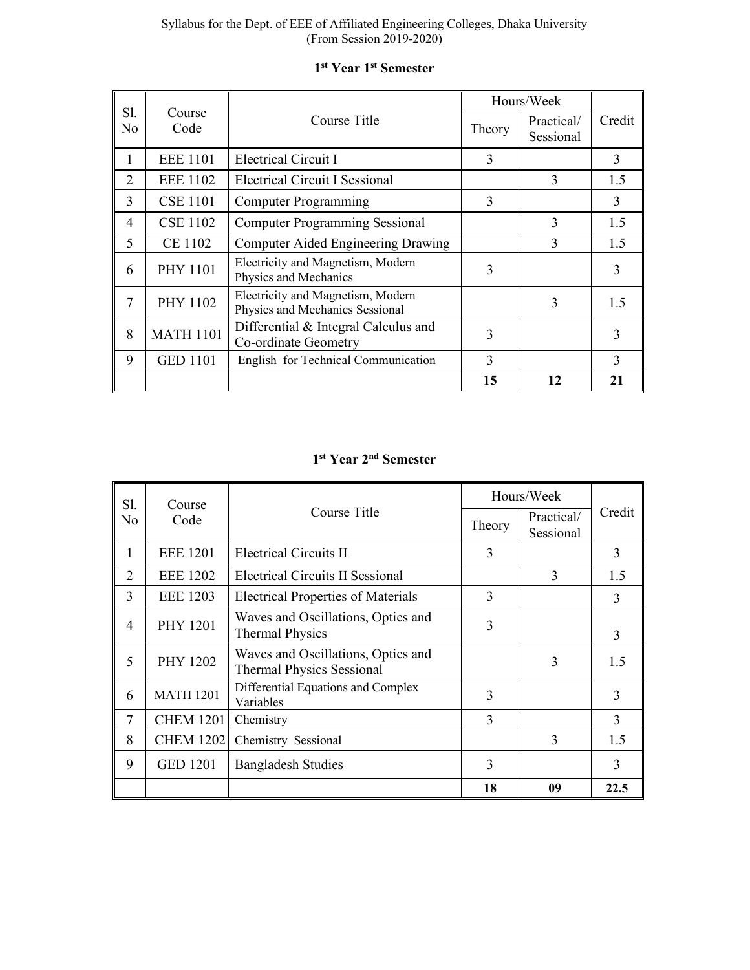|                |                  |                                                                      |        | Hours/Week              |               |
|----------------|------------------|----------------------------------------------------------------------|--------|-------------------------|---------------|
| Sl.<br>No      | Course<br>Code   | Course Title                                                         | Theory | Practical/<br>Sessional | Credit        |
|                | <b>EEE 1101</b>  | Electrical Circuit I                                                 | 3      |                         | 3             |
| $\overline{2}$ | <b>EEE 1102</b>  | <b>Electrical Circuit I Sessional</b>                                |        | 3                       | 1.5           |
| 3              | <b>CSE 1101</b>  | <b>Computer Programming</b>                                          | 3      |                         | 3             |
| 4              | <b>CSE 1102</b>  | <b>Computer Programming Sessional</b>                                |        | 3                       | 1.5           |
| 5              | <b>CE 1102</b>   | <b>Computer Aided Engineering Drawing</b>                            |        | 3                       | 1.5           |
| 6              | <b>PHY 1101</b>  | Electricity and Magnetism, Modern<br>Physics and Mechanics           | 3      |                         | 3             |
| 7              | <b>PHY 1102</b>  | Electricity and Magnetism, Modern<br>Physics and Mechanics Sessional |        | 3                       | 1.5           |
| 8              | <b>MATH 1101</b> | Differential & Integral Calculus and<br>Co-ordinate Geometry         | 3      |                         | 3             |
| 9              | <b>GED 1101</b>  | English for Technical Communication                                  | 3      |                         | $\mathcal{R}$ |
|                |                  |                                                                      | 15     | 12                      | 21            |

# **1st Year 1st Semester**

# **1st Year 2nd Semester**

| Sl.<br>Course |                  |                                                                        |               | Hours/Week              |        |
|---------------|------------------|------------------------------------------------------------------------|---------------|-------------------------|--------|
| No            | Code             | Course Title                                                           | Theory        | Practical/<br>Sessional | Credit |
| 1             | <b>EEE 1201</b>  | <b>Electrical Circuits II</b>                                          | 3             |                         | 3      |
| 2             | <b>EEE 1202</b>  | Electrical Circuits II Sessional                                       |               | 3                       | 1.5    |
| 3             | <b>EEE 1203</b>  | <b>Electrical Properties of Materials</b>                              | 3             |                         | 3      |
| 4             | <b>PHY 1201</b>  | Waves and Oscillations, Optics and<br><b>Thermal Physics</b>           | 3             |                         | 3      |
| 5             | <b>PHY 1202</b>  | Waves and Oscillations, Optics and<br><b>Thermal Physics Sessional</b> |               | 3                       | 1.5    |
| 6             | <b>MATH 1201</b> | Differential Equations and Complex<br>Variables                        | 3             |                         | 3      |
| 7             | <b>CHEM 1201</b> | Chemistry                                                              | $\mathcal{E}$ |                         | 3      |
| 8             | <b>CHEM 1202</b> | Chemistry Sessional                                                    |               | 3                       | 1.5    |
| 9             | <b>GED 1201</b>  | <b>Bangladesh Studies</b>                                              | 3             |                         | 3      |
|               |                  |                                                                        | 18            | 09                      | 22.5   |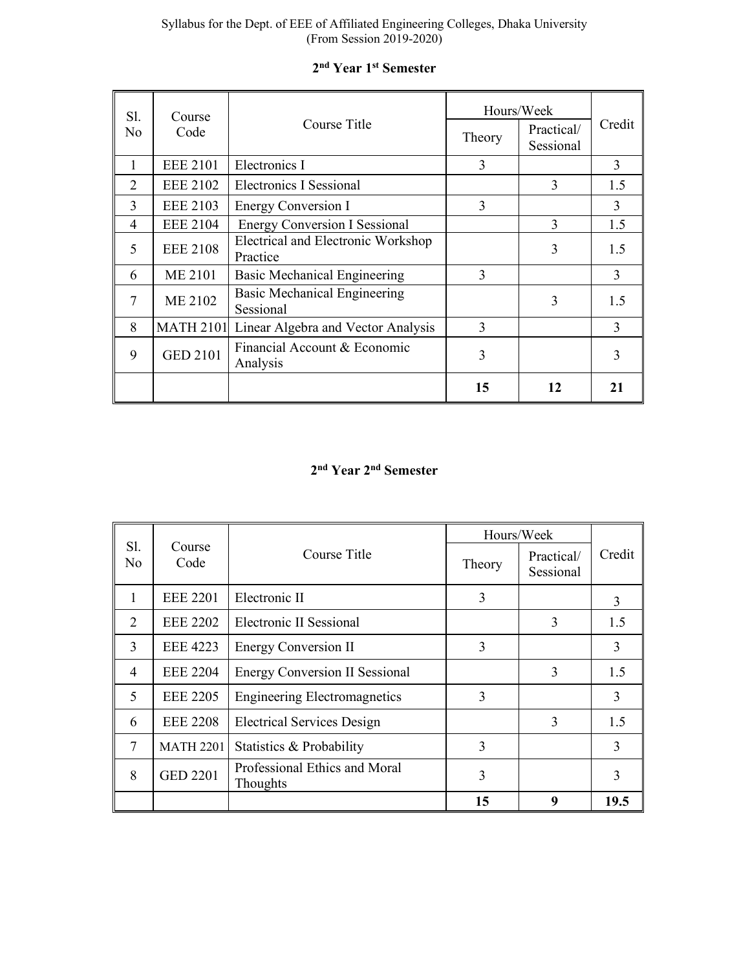| Sl.<br>Course  |                  |                                                  | Hours/Week |                         |        |
|----------------|------------------|--------------------------------------------------|------------|-------------------------|--------|
| No             | Code             | Course Title                                     | Theory     | Practical/<br>Sessional | Credit |
| 1              | <b>EEE 2101</b>  | Electronics I                                    | 3          |                         | 3      |
| $\mathcal{L}$  | <b>EEE 2102</b>  | <b>Electronics I Sessional</b>                   |            | 3                       | 1.5    |
| 3              | <b>EEE 2103</b>  | 3<br>Energy Conversion I                         |            |                         | 3      |
| $\overline{4}$ | <b>EEE 2104</b>  | <b>Energy Conversion I Sessional</b>             |            | 3                       | 1.5    |
| 5              | <b>EEE 2108</b>  | Electrical and Electronic Workshop<br>Practice   |            | 3                       | 1.5    |
| 6              | <b>ME 2101</b>   | Basic Mechanical Engineering                     | 3          |                         | 3      |
| 7              | ME 2102          | <b>Basic Mechanical Engineering</b><br>Sessional |            | 3                       | 1.5    |
| 8              | <b>MATH 2101</b> | Linear Algebra and Vector Analysis               | 3          |                         | 3      |
| 9              | <b>GED 2101</b>  | Financial Account & Economic<br>Analysis         | 3          |                         | 3      |
|                |                  |                                                  | 15         | 12                      | 21     |

# **2nd Year 1st Semester**

# **2nd Year 2nd Semester**

|                |                  |                                                  |        | Hours/Week              |        |
|----------------|------------------|--------------------------------------------------|--------|-------------------------|--------|
| Sl.<br>No      | Course<br>Code   | Course Title                                     | Theory | Practical/<br>Sessional | Credit |
| 1              | <b>EEE 2201</b>  | Electronic II                                    | 3      |                         | 3      |
| $\overline{2}$ | <b>EEE 2202</b>  | Electronic II Sessional                          |        | 3                       | 1.5    |
| 3              | <b>EEE 4223</b>  | <b>Energy Conversion II</b>                      | 3      |                         | 3      |
| $\overline{4}$ | <b>EEE 2204</b>  | <b>Energy Conversion II Sessional</b>            |        | 3                       | 1.5    |
| 5              | <b>EEE 2205</b>  | <b>Engineering Electromagnetics</b>              | 3      |                         | 3      |
| 6              | <b>EEE 2208</b>  | <b>Electrical Services Design</b>                |        | 3                       | 1.5    |
| 7              | <b>MATH 2201</b> | Statistics & Probability                         | 3      |                         | 3      |
| 8              | <b>GED 2201</b>  | Professional Ethics and Moral<br><b>Thoughts</b> | 3      |                         | 3      |
|                |                  |                                                  | 15     | 9                       | 19.5   |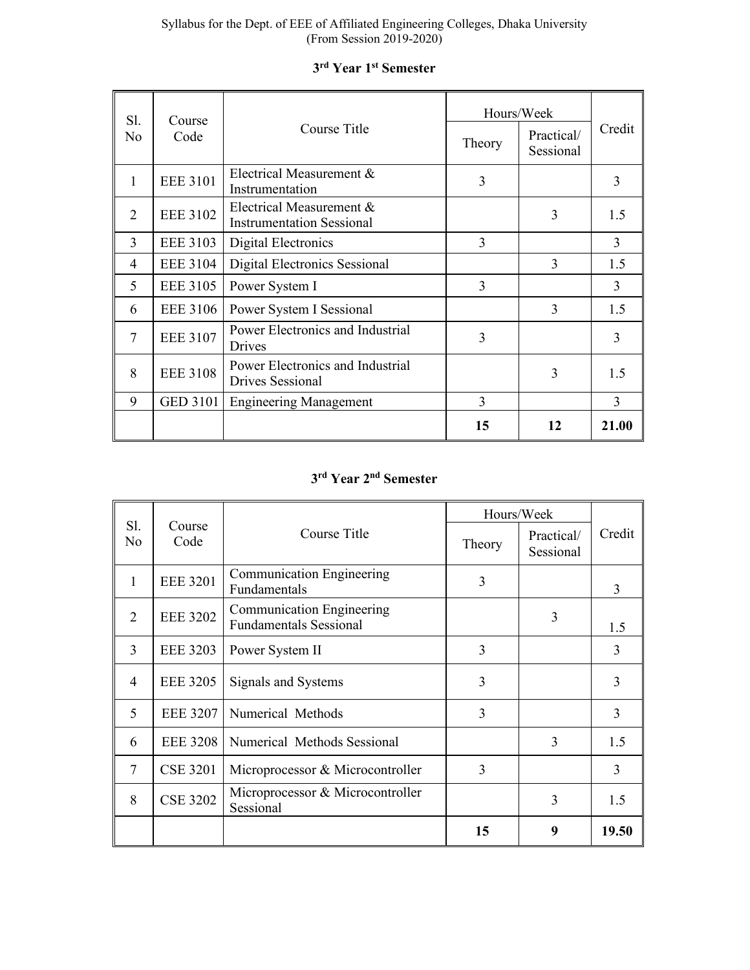| Sl.            | Course          |                                                              |        | Hours/Week |               |
|----------------|-----------------|--------------------------------------------------------------|--------|------------|---------------|
| No             | Code            | Course Title                                                 | Theory |            | Credit        |
| 1              | <b>EEE 3101</b> | Electrical Measurement &<br>Instrumentation                  | 3      |            | 3             |
| $\overline{2}$ | <b>EEE 3102</b> | Electrical Measurement &<br><b>Instrumentation Sessional</b> | 3      |            | 1.5           |
| 3              | <b>EEE 3103</b> | Digital Electronics                                          | 3      |            | 3             |
| 4              | <b>EEE 3104</b> | Digital Electronics Sessional                                |        | 3          | 1.5           |
| 5              | <b>EEE 3105</b> | Power System I                                               | 3      |            | 3             |
| 6              | <b>EEE 3106</b> | Power System I Sessional                                     |        | 3          | 1.5           |
| $\tau$         | <b>EEE 3107</b> | Power Electronics and Industrial<br>Drives                   | 3      |            | $\mathcal{E}$ |
| 8              | <b>EEE 3108</b> | Power Electronics and Industrial<br><b>Drives Sessional</b>  |        | 3          | 1.5           |
| 9              | <b>GED 3101</b> | <b>Engineering Management</b>                                | 3      |            | 3             |
|                |                 |                                                              | 15     | 12         | 21.00         |

# **3rd Year 1st Semester**

# **3rd Year 2nd Semester**

|                             |                 |                                                                   | Hours/Week |                         |        |
|-----------------------------|-----------------|-------------------------------------------------------------------|------------|-------------------------|--------|
| Sl.<br>No                   | Course<br>Code  | Course Title                                                      | Theory     | Practical/<br>Sessional | Credit |
| 1                           | <b>EEE 3201</b> | Communication Engineering<br>Fundamentals                         | 3          |                         | 3      |
| $\mathcal{D}_{\mathcal{L}}$ | <b>EEE 3202</b> | <b>Communication Engineering</b><br><b>Fundamentals Sessional</b> |            | 3                       | 1.5    |
| 3                           | <b>EEE 3203</b> | Power System II                                                   | 3          |                         | 3      |
| 4                           | <b>EEE 3205</b> | Signals and Systems                                               | 3          |                         | 3      |
| 5                           | <b>EEE 3207</b> | Numerical Methods                                                 | 3          |                         | 3      |
| 6                           | <b>EEE 3208</b> | Numerical Methods Sessional                                       |            | 3                       | 1.5    |
| 7                           | <b>CSE 3201</b> | Microprocessor & Microcontroller                                  | 3          |                         | 3      |
| 8                           | <b>CSE 3202</b> | Microprocessor & Microcontroller<br>Sessional                     |            | 3                       | 1.5    |
|                             |                 |                                                                   | 15         | 9                       | 19.50  |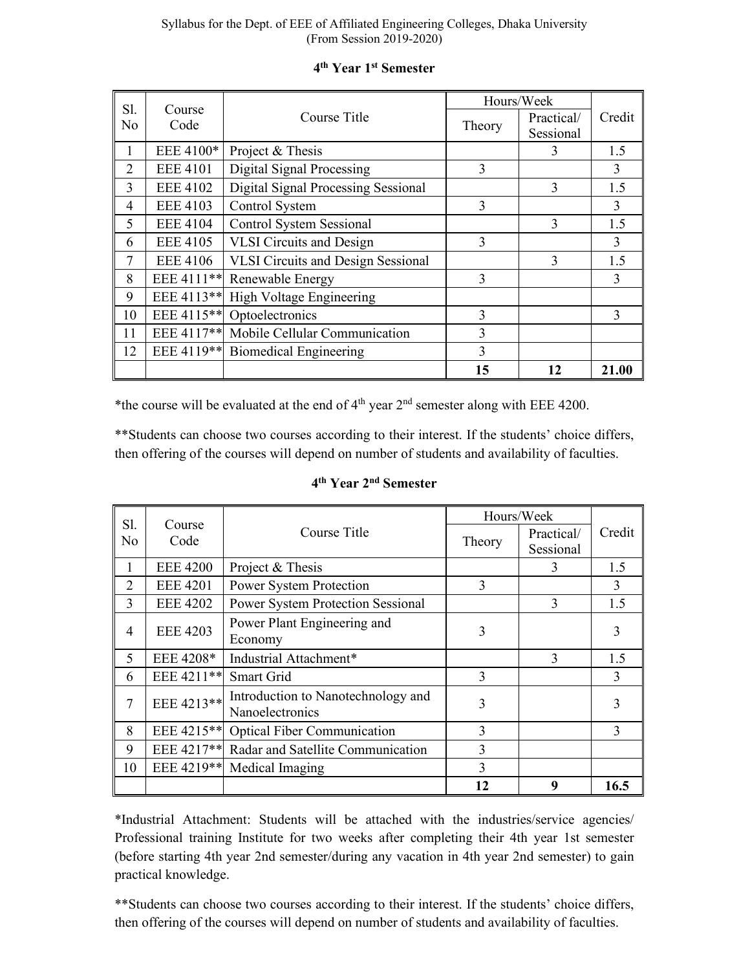| Sl. |                 | Course                                               |        | Hours/Week |               |  |
|-----|-----------------|------------------------------------------------------|--------|------------|---------------|--|
| No  | Code            | Course Title                                         |        | Practical/ | Credit        |  |
|     |                 |                                                      | Theory | Sessional  |               |  |
| 1   | EEE 4100*       | Project & Thesis                                     |        | 3          | 1.5           |  |
| 2   | <b>EEE 4101</b> | Digital Signal Processing                            | 3      |            | 3             |  |
| 3   | <b>EEE 4102</b> | Digital Signal Processing Sessional                  |        | 3          | 1.5           |  |
| 4   | <b>EEE 4103</b> | Control System                                       | 3      |            | 3             |  |
| 5   | <b>EEE 4104</b> | <b>Control System Sessional</b>                      |        | 3          | 1.5           |  |
| 6   | <b>EEE 4105</b> | <b>VLSI</b> Circuits and Design                      | 3      |            | 3             |  |
| 7   | <b>EEE 4106</b> | <b>VLSI Circuits and Design Sessional</b>            |        | 3          | 1.5           |  |
| 8   |                 | EEE 4111** Renewable Energy                          | 3      |            | 3             |  |
| 9   | EEE 4113**      | High Voltage Engineering                             |        |            |               |  |
| 10  | EEE 4115**      | Optoelectronics                                      | 3      |            | $\mathcal{E}$ |  |
| 11  |                 | EEE 4117 <sup>**</sup> Mobile Cellular Communication | 3      |            |               |  |
| 12  | EEE 4119**      | 3<br><b>Biomedical Engineering</b>                   |        |            |               |  |
|     |                 |                                                      | 15     | 12         | 21.00         |  |

## **4th Year 1st Semester**

\*the course will be evaluated at the end of  $4<sup>th</sup>$  year  $2<sup>nd</sup>$  semester along with EEE 4200.

\*\*Students can choose two courses according to their interest. If the students' choice differs, then offering of the courses will depend on number of students and availability of faculties.

| Sl.            |                 |                                          | Hours/Week    |            |               |  |
|----------------|-----------------|------------------------------------------|---------------|------------|---------------|--|
| N <sub>o</sub> | Course<br>Code  | Course Title                             | Theory        | Practical/ | Credit        |  |
|                |                 |                                          |               | Sessional  |               |  |
| 1              | <b>EEE 4200</b> | Project & Thesis                         |               | 3          | 1.5           |  |
| $\overline{2}$ | <b>EEE 4201</b> | Power System Protection                  | $\mathcal{E}$ |            | $\mathcal{E}$ |  |
| 3              | <b>EEE 4202</b> | <b>Power System Protection Sessional</b> |               | 3          | 1.5           |  |
| 4              | <b>EEE 4203</b> | Power Plant Engineering and              | 3             |            | 3             |  |
|                |                 | Economy                                  |               |            |               |  |
| 5              | EEE 4208*       | Industrial Attachment*                   |               | 3          | 1.5           |  |
| 6              | EEE 4211**      | Smart Grid                               | $\mathcal{E}$ |            | $\mathcal{E}$ |  |
| 7              | EEE 4213**      | Introduction to Nanotechnology and       | 3             |            | 3             |  |
|                |                 | Nanoelectronics                          |               |            |               |  |
| 8              | EEE 4215**      | <b>Optical Fiber Communication</b>       | 3             |            | 3             |  |
| 9              | EEE 4217**      | Radar and Satellite Communication        | 3             |            |               |  |
| 10             | EEE 4219**      | Medical Imaging                          | 3             |            |               |  |
|                |                 |                                          | 12            | 9          | 16.5          |  |

# **4th Year 2nd Semester**

\*Industrial Attachment: Students will be attached with the industries/service agencies/ Professional training Institute for two weeks after completing their 4th year 1st semester (before starting 4th year 2nd semester/during any vacation in 4th year 2nd semester) to gain practical knowledge.

\*\*Students can choose two courses according to their interest. If the students' choice differs, then offering of the courses will depend on number of students and availability of faculties.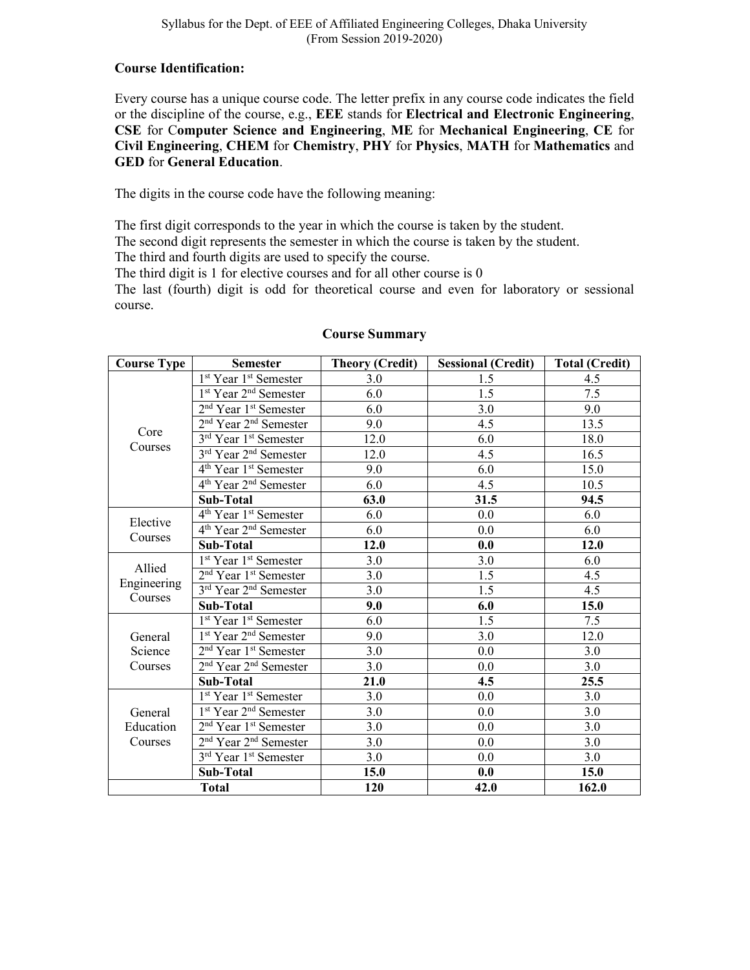#### **Course Identification:**

Every course has a unique course code. The letter prefix in any course code indicates the field or the discipline of the course, e.g., **EEE** stands for **Electrical and Electronic Engineering**, **CSE** for C**omputer Science and Engineering**, **ME** for **Mechanical Engineering**, **CE** for **Civil Engineering**, **CHEM** for **Chemistry**, **PHY** for **Physics**, **MATH** for **Mathematics** and **GED** for **General Education**.

The digits in the course code have the following meaning:

The first digit corresponds to the year in which the course is taken by the student.

The second digit represents the semester in which the course is taken by the student.

The third and fourth digits are used to specify the course.

The third digit is 1 for elective courses and for all other course is 0

The last (fourth) digit is odd for theoretical course and even for laboratory or sessional course.

| <b>Course Type</b>     | <b>Semester</b>                               | <b>Theory (Credit)</b> | <b>Sessional (Credit)</b> | <b>Total (Credit)</b> |
|------------------------|-----------------------------------------------|------------------------|---------------------------|-----------------------|
|                        | 1 <sup>st</sup> Year 1 <sup>st</sup> Semester | 3.0                    | 1.5                       | 4.5                   |
|                        | 1 <sup>st</sup> Year 2 <sup>nd</sup> Semester | 6.0                    | 1.5                       | 7.5                   |
|                        | 2 <sup>nd</sup> Year 1 <sup>st</sup> Semester | 6.0                    | 3.0                       | 9.0                   |
|                        | $2nd$ Year $2nd$ Semester                     | 9.0                    | 4.5                       | 13.5                  |
| Core                   | 3 <sup>rd</sup> Year 1 <sup>st</sup> Semester | 12.0                   | 6.0                       | 18.0                  |
| Courses                | 3 <sup>rd</sup> Year 2 <sup>nd</sup> Semester | 12.0                   | 4.5                       | 16.5                  |
|                        | 4 <sup>th</sup> Year 1 <sup>st</sup> Semester | 9.0                    | 6.0                       | 15.0                  |
|                        | 4 <sup>th</sup> Year 2 <sup>nd</sup> Semester | 6.0                    | 4.5                       | 10.5                  |
|                        | Sub-Total                                     | 63.0                   | 31.5                      | 94.5                  |
|                        | 4 <sup>th</sup> Year 1 <sup>st</sup> Semester | 6.0                    | 0.0                       | 6.0                   |
| Elective               | 4 <sup>th</sup> Year 2 <sup>nd</sup> Semester | 6.0                    | 0.0                       | 6.0                   |
| Courses                | Sub-Total                                     | 12.0                   | 0.0                       | 12.0                  |
|                        | 1 <sup>st</sup> Year 1 <sup>st</sup> Semester | 3.0                    | 3.0                       | 6.0                   |
| Allied                 | 2 <sup>nd</sup> Year 1 <sup>st</sup> Semester | 3.0                    | 1.5                       | 4.5                   |
| Engineering<br>Courses | 3 <sup>rd</sup> Year 2 <sup>nd</sup> Semester | 3.0                    | 1.5                       | 4.5                   |
|                        | Sub-Total                                     | 9.0                    | 6.0                       | 15.0                  |
|                        | 1 <sup>st</sup> Year 1 <sup>st</sup> Semester | 6.0                    | 1.5                       | 7.5                   |
| General                | 1 <sup>st</sup> Year 2 <sup>nd</sup> Semester | 9.0                    | 3.0                       | 12.0                  |
| Science                | 2 <sup>nd</sup> Year 1 <sup>st</sup> Semester | 3.0                    | $0.0\,$                   | 3.0                   |
| Courses                | 2 <sup>nd</sup> Year 2 <sup>nd</sup> Semester | 3.0                    | 0.0                       | 3.0                   |
|                        | Sub-Total                                     | 21.0                   | 4.5                       | 25.5                  |
|                        | 1 <sup>st</sup> Year 1 <sup>st</sup> Semester | 3.0                    | 0.0                       | 3.0                   |
| General                | 1 <sup>st</sup> Year 2 <sup>nd</sup> Semester | 3.0                    | $0.0\,$                   | 3.0                   |
| Education              | 2 <sup>nd</sup> Year 1 <sup>st</sup> Semester | 3.0                    | $0.0\,$                   | 3.0                   |
| Courses                | 2 <sup>nd</sup> Year 2 <sup>nd</sup> Semester | 3.0                    | $0.0\,$                   | 3.0                   |
|                        | 3 <sup>rd</sup> Year 1 <sup>st</sup> Semester | 3.0                    | $0.0\,$                   | 3.0                   |
|                        | Sub-Total                                     | 15.0                   | 0.0                       | 15.0                  |
| <b>Total</b>           |                                               | 120                    | 42.0                      | 162.0                 |

#### **Course Summary**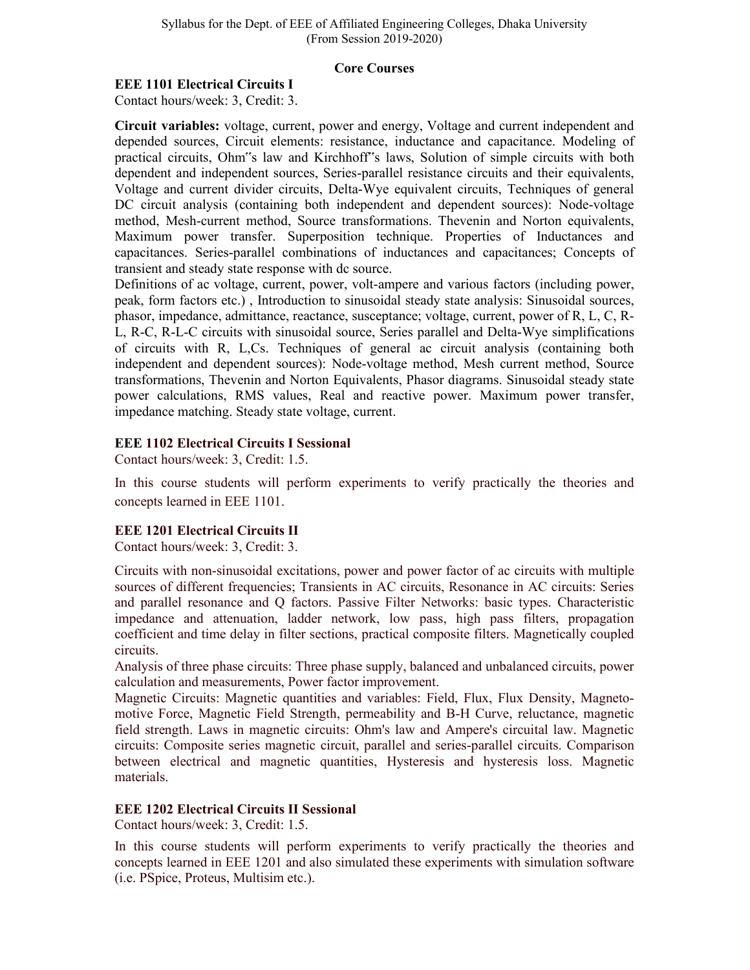#### **Core Courses**

## **EEE 1101 Electrical Circuits I**

Contact hours/week: 3, Credit: 3.

**Circuit variables:** voltage, current, power and energy, Voltage and current independent and depended sources, Circuit elements: resistance, inductance and capacitance. Modeling of practical circuits, Ohm"s law and Kirchhoff"s laws, Solution of simple circuits with both dependent and independent sources, Series-parallel resistance circuits and their equivalents, Voltage and current divider circuits, Delta-Wye equivalent circuits, Techniques of general DC circuit analysis (containing both independent and dependent sources): Node-voltage method, Mesh-current method, Source transformations. Thevenin and Norton equivalents, Maximum power transfer. Superposition technique. Properties of Inductances and capacitances. Series-parallel combinations of inductances and capacitances; Concepts of transient and steady state response with dc source.

Definitions of ac voltage, current, power, volt-ampere and various factors (including power, peak, form factors etc.) , Introduction to sinusoidal steady state analysis: Sinusoidal sources, phasor, impedance, admittance, reactance, susceptance; voltage, current, power of R, L, C, R-L, R-C, R-L-C circuits with sinusoidal source, Series parallel and Delta-Wye simplifications of circuits with R, L,Cs. Techniques of general ac circuit analysis (containing both independent and dependent sources): Node-voltage method, Mesh current method, Source transformations, Thevenin and Norton Equivalents, Phasor diagrams. Sinusoidal steady state power calculations, RMS values, Real and reactive power. Maximum power transfer, impedance matching. Steady state voltage, current.

### **EEE 1102 Electrical Circuits I Sessional**

Contact hours/week: 3, Credit: 1.5.

In this course students will perform experiments to verify practically the theories and concepts learned in EEE 1101.

## **EEE 1201 Electrical Circuits II**

Contact hours/week: 3, Credit: 3.

Circuits with non-sinusoidal excitations, power and power factor of ac circuits with multiple sources of different frequencies; Transients in AC circuits, Resonance in AC circuits: Series and parallel resonance and Q factors. Passive Filter Networks: basic types. Characteristic impedance and attenuation, ladder network, low pass, high pass filters, propagation coefficient and time delay in filter sections, practical composite filters. Magnetically coupled circuits.

Analysis of three phase circuits: Three phase supply, balanced and unbalanced circuits, power calculation and measurements, Power factor improvement.

Magnetic Circuits: Magnetic quantities and variables: Field, Flux, Flux Density, Magnetomotive Force, Magnetic Field Strength, permeability and B-H Curve, reluctance, magnetic field strength. Laws in magnetic circuits: Ohm's law and Ampere's circuital law. Magnetic circuits: Composite series magnetic circuit, parallel and series-parallel circuits. Comparison between electrical and magnetic quantities, Hysteresis and hysteresis loss. Magnetic materials.

## **EEE 1202 Electrical Circuits II Sessional**

Contact hours/week: 3, Credit: 1.5.

In this course students will perform experiments to verify practically the theories and concepts learned in EEE 1201 and also simulated these experiments with simulation software (i.e. PSpice, Proteus, Multisim etc.).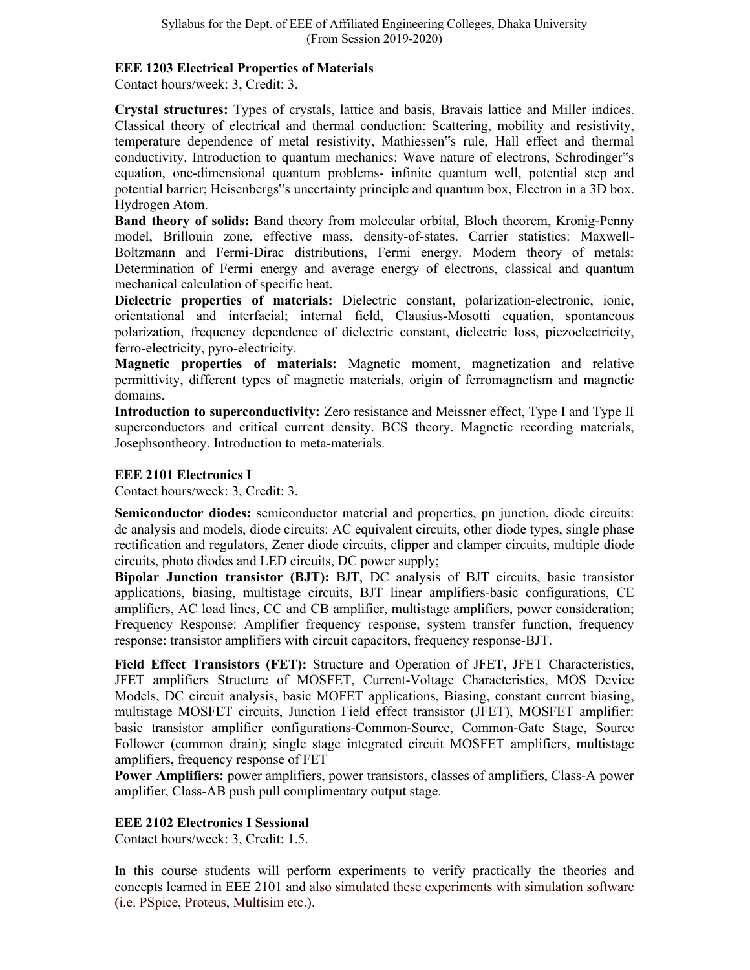### **EEE 1203 Electrical Properties of Materials**

Contact hours/week: 3, Credit: 3.

**Crystal structures:** Types of crystals, lattice and basis, Bravais lattice and Miller indices. Classical theory of electrical and thermal conduction: Scattering, mobility and resistivity, temperature dependence of metal resistivity, Mathiessen"s rule, Hall effect and thermal conductivity. Introduction to quantum mechanics: Wave nature of electrons, Schrodinger"s equation, one-dimensional quantum problems- infinite quantum well, potential step and potential barrier; Heisenbergs"s uncertainty principle and quantum box, Electron in a 3D box. Hydrogen Atom.

**Band theory of solids:** Band theory from molecular orbital, Bloch theorem, Kronig-Penny model, Brillouin zone, effective mass, density-of-states. Carrier statistics: Maxwell-Boltzmann and Fermi-Dirac distributions, Fermi energy. Modern theory of metals: Determination of Fermi energy and average energy of electrons, classical and quantum mechanical calculation of specific heat.

**Dielectric properties of materials:** Dielectric constant, polarization-electronic, ionic, orientational and interfacial; internal field, Clausius-Mosotti equation, spontaneous polarization, frequency dependence of dielectric constant, dielectric loss, piezoelectricity, ferro-electricity, pyro-electricity.

**Magnetic properties of materials:** Magnetic moment, magnetization and relative permittivity, different types of magnetic materials, origin of ferromagnetism and magnetic domains.

**Introduction to superconductivity:** Zero resistance and Meissner effect, Type I and Type II superconductors and critical current density. BCS theory. Magnetic recording materials, Josephsontheory. Introduction to meta-materials.

## **EEE 2101 Electronics I**

Contact hours/week: 3, Credit: 3.

**Semiconductor diodes:** semiconductor material and properties, pn junction, diode circuits: dc analysis and models, diode circuits: AC equivalent circuits, other diode types, single phase rectification and regulators, Zener diode circuits, clipper and clamper circuits, multiple diode circuits, photo diodes and LED circuits, DC power supply;

**Bipolar Junction transistor (BJT):** BJT, DC analysis of BJT circuits, basic transistor applications, biasing, multistage circuits, BJT linear amplifiers-basic configurations, CE amplifiers, AC load lines, CC and CB amplifier, multistage amplifiers, power consideration; Frequency Response: Amplifier frequency response, system transfer function, frequency response: transistor amplifiers with circuit capacitors, frequency response-BJT.

**Field Effect Transistors (FET):** Structure and Operation of JFET, JFET Characteristics, JFET amplifiers Structure of MOSFET, Current-Voltage Characteristics, MOS Device Models, DC circuit analysis, basic MOFET applications, Biasing, constant current biasing, multistage MOSFET circuits, Junction Field effect transistor (JFET), MOSFET amplifier: basic transistor amplifier configurations-Common-Source, Common-Gate Stage, Source Follower (common drain); single stage integrated circuit MOSFET amplifiers, multistage amplifiers, frequency response of FET

**Power Amplifiers:** power amplifiers, power transistors, classes of amplifiers, Class-A power amplifier, Class-AB push pull complimentary output stage.

## **EEE 2102 Electronics I Sessional**

Contact hours/week: 3, Credit: 1.5.

In this course students will perform experiments to verify practically the theories and concepts learned in EEE 2101 and also simulated these experiments with simulation software (i.e. PSpice, Proteus, Multisim etc.).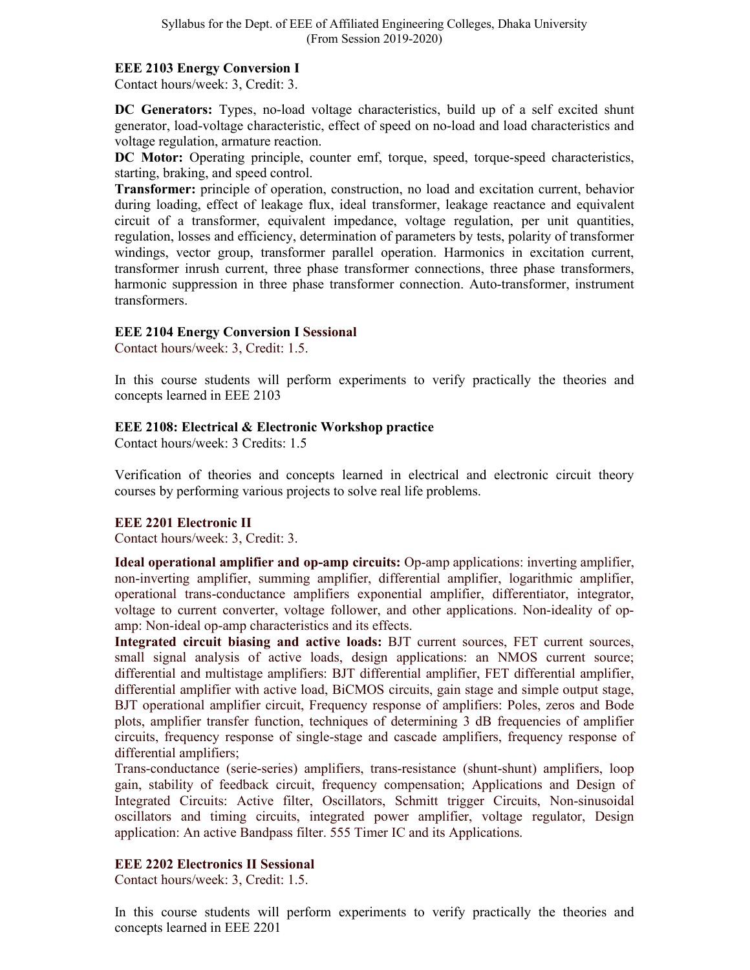## **EEE 2103 Energy Conversion I**

Contact hours/week: 3, Credit: 3.

**DC Generators:** Types, no-load voltage characteristics, build up of a self excited shunt generator, load-voltage characteristic, effect of speed on no-load and load characteristics and voltage regulation, armature reaction.

**DC Motor:** Operating principle, counter emf, torque, speed, torque-speed characteristics, starting, braking, and speed control.

**Transformer:** principle of operation, construction, no load and excitation current, behavior during loading, effect of leakage flux, ideal transformer, leakage reactance and equivalent circuit of a transformer, equivalent impedance, voltage regulation, per unit quantities, regulation, losses and efficiency, determination of parameters by tests, polarity of transformer windings, vector group, transformer parallel operation. Harmonics in excitation current, transformer inrush current, three phase transformer connections, three phase transformers, harmonic suppression in three phase transformer connection. Auto-transformer, instrument transformers.

## **EEE 2104 Energy Conversion I Sessional**

Contact hours/week: 3, Credit: 1.5.

In this course students will perform experiments to verify practically the theories and concepts learned in EEE 2103

## **EEE 2108: Electrical & Electronic Workshop practice**

Contact hours/week: 3 Credits: 1.5

Verification of theories and concepts learned in electrical and electronic circuit theory courses by performing various projects to solve real life problems.

## **EEE 2201 Electronic II**

Contact hours/week: 3, Credit: 3.

**Ideal operational amplifier and op-amp circuits:** Op-amp applications: inverting amplifier, non-inverting amplifier, summing amplifier, differential amplifier, logarithmic amplifier, operational trans-conductance amplifiers exponential amplifier, differentiator, integrator, voltage to current converter, voltage follower, and other applications. Non-ideality of opamp: Non-ideal op-amp characteristics and its effects.

**Integrated circuit biasing and active loads:** BJT current sources, FET current sources, small signal analysis of active loads, design applications: an NMOS current source; differential and multistage amplifiers: BJT differential amplifier, FET differential amplifier, differential amplifier with active load, BiCMOS circuits, gain stage and simple output stage, BJT operational amplifier circuit, Frequency response of amplifiers: Poles, zeros and Bode plots, amplifier transfer function, techniques of determining 3 dB frequencies of amplifier circuits, frequency response of single-stage and cascade amplifiers, frequency response of differential amplifiers;

Trans-conductance (serie-series) amplifiers, trans-resistance (shunt-shunt) amplifiers, loop gain, stability of feedback circuit, frequency compensation; Applications and Design of Integrated Circuits: Active filter, Oscillators, Schmitt trigger Circuits, Non-sinusoidal oscillators and timing circuits, integrated power amplifier, voltage regulator, Design application: An active Bandpass filter. 555 Timer IC and its Applications.

## **EEE 2202 Electronics II Sessional**

Contact hours/week: 3, Credit: 1.5.

In this course students will perform experiments to verify practically the theories and concepts learned in EEE 2201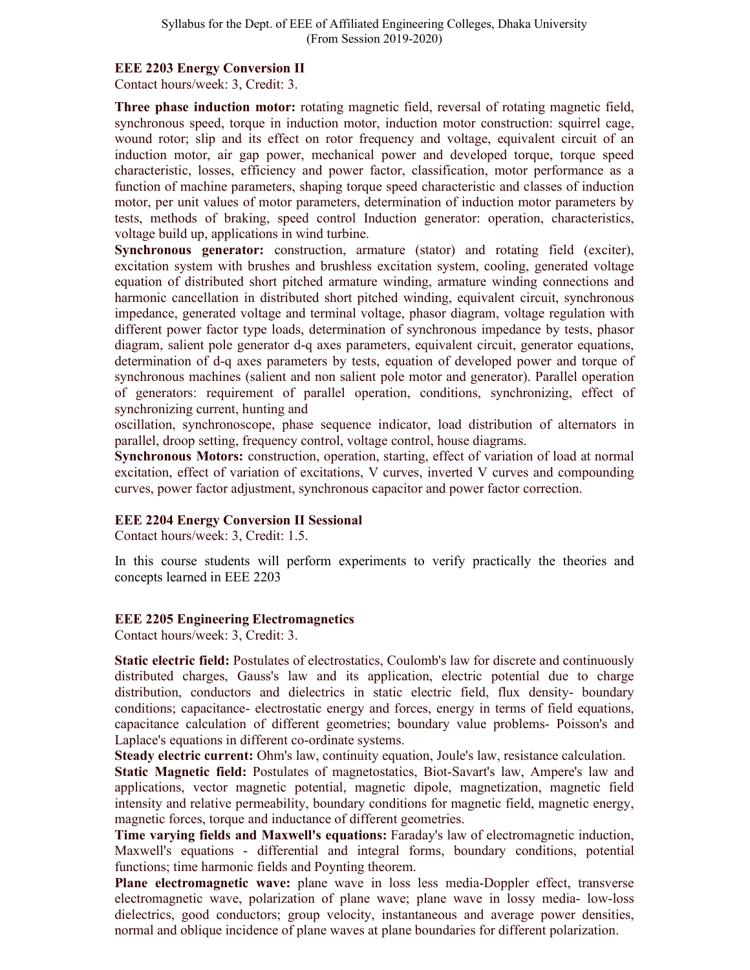#### **EEE 2203 Energy Conversion II**

Contact hours/week: 3, Credit: 3.

**Three phase induction motor:** rotating magnetic field, reversal of rotating magnetic field, synchronous speed, torque in induction motor, induction motor construction: squirrel cage, wound rotor; slip and its effect on rotor frequency and voltage, equivalent circuit of an induction motor, air gap power, mechanical power and developed torque, torque speed characteristic, losses, efficiency and power factor, classification, motor performance as a function of machine parameters, shaping torque speed characteristic and classes of induction motor, per unit values of motor parameters, determination of induction motor parameters by tests, methods of braking, speed control Induction generator: operation, characteristics, voltage build up, applications in wind turbine.

**Synchronous generator:** construction, armature (stator) and rotating field (exciter), excitation system with brushes and brushless excitation system, cooling, generated voltage equation of distributed short pitched armature winding, armature winding connections and harmonic cancellation in distributed short pitched winding, equivalent circuit, synchronous impedance, generated voltage and terminal voltage, phasor diagram, voltage regulation with different power factor type loads, determination of synchronous impedance by tests, phasor diagram, salient pole generator d-q axes parameters, equivalent circuit, generator equations, determination of d-q axes parameters by tests, equation of developed power and torque of synchronous machines (salient and non salient pole motor and generator). Parallel operation of generators: requirement of parallel operation, conditions, synchronizing, effect of synchronizing current, hunting and

oscillation, synchronoscope, phase sequence indicator, load distribution of alternators in parallel, droop setting, frequency control, voltage control, house diagrams.

**Synchronous Motors:** construction, operation, starting, effect of variation of load at normal excitation, effect of variation of excitations, V curves, inverted V curves and compounding curves, power factor adjustment, synchronous capacitor and power factor correction.

## **EEE 2204 Energy Conversion II Sessional**

Contact hours/week: 3, Credit: 1.5.

In this course students will perform experiments to verify practically the theories and concepts learned in EEE 2203

## **EEE 2205 Engineering Electromagnetics**

Contact hours/week: 3, Credit: 3.

**Static electric field:** Postulates of electrostatics, Coulomb's law for discrete and continuously distributed charges, Gauss's law and its application, electric potential due to charge distribution, conductors and dielectrics in static electric field, flux density- boundary conditions; capacitance- electrostatic energy and forces, energy in terms of field equations, capacitance calculation of different geometries; boundary value problems- Poisson's and Laplace's equations in different co-ordinate systems.

**Steady electric current:** Ohm's law, continuity equation, Joule's law, resistance calculation. **Static Magnetic field:** Postulates of magnetostatics, Biot-Savart's law, Ampere's law and applications, vector magnetic potential, magnetic dipole, magnetization, magnetic field intensity and relative permeability, boundary conditions for magnetic field, magnetic energy, magnetic forces, torque and inductance of different geometries.

**Time varying fields and Maxwell's equations:** Faraday's law of electromagnetic induction, Maxwell's equations - differential and integral forms, boundary conditions, potential functions; time harmonic fields and Poynting theorem.

**Plane electromagnetic wave:** plane wave in loss less media-Doppler effect, transverse electromagnetic wave, polarization of plane wave; plane wave in lossy media- low-loss dielectrics, good conductors; group velocity, instantaneous and average power densities, normal and oblique incidence of plane waves at plane boundaries for different polarization.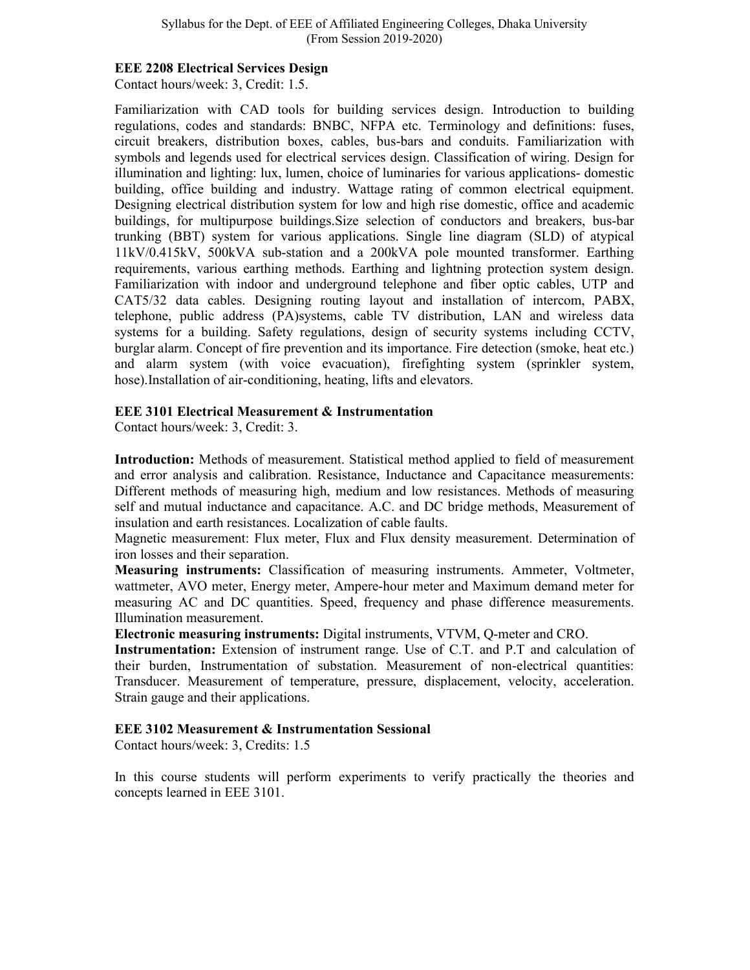#### **EEE 2208 Electrical Services Design**

Contact hours/week: 3, Credit: 1.5.

Familiarization with CAD tools for building services design. Introduction to building regulations, codes and standards: BNBC, NFPA etc. Terminology and definitions: fuses, circuit breakers, distribution boxes, cables, bus-bars and conduits. Familiarization with symbols and legends used for electrical services design. Classification of wiring. Design for illumination and lighting: lux, lumen, choice of luminaries for various applications- domestic building, office building and industry. Wattage rating of common electrical equipment. Designing electrical distribution system for low and high rise domestic, office and academic buildings, for multipurpose buildings.Size selection of conductors and breakers, bus-bar trunking (BBT) system for various applications. Single line diagram (SLD) of atypical 11kV/0.415kV, 500kVA sub-station and a 200kVA pole mounted transformer. Earthing requirements, various earthing methods. Earthing and lightning protection system design. Familiarization with indoor and underground telephone and fiber optic cables, UTP and CAT5/32 data cables. Designing routing layout and installation of intercom, PABX, telephone, public address (PA)systems, cable TV distribution, LAN and wireless data systems for a building. Safety regulations, design of security systems including CCTV, burglar alarm. Concept of fire prevention and its importance. Fire detection (smoke, heat etc.) and alarm system (with voice evacuation), firefighting system (sprinkler system, hose).Installation of air-conditioning, heating, lifts and elevators.

### **EEE 3101 Electrical Measurement & Instrumentation**

Contact hours/week: 3, Credit: 3.

**Introduction:** Methods of measurement. Statistical method applied to field of measurement and error analysis and calibration. Resistance, Inductance and Capacitance measurements: Different methods of measuring high, medium and low resistances. Methods of measuring self and mutual inductance and capacitance. A.C. and DC bridge methods, Measurement of insulation and earth resistances. Localization of cable faults.

Magnetic measurement: Flux meter, Flux and Flux density measurement. Determination of iron losses and their separation.

**Measuring instruments:** Classification of measuring instruments. Ammeter, Voltmeter, wattmeter, AVO meter, Energy meter, Ampere-hour meter and Maximum demand meter for measuring AC and DC quantities. Speed, frequency and phase difference measurements. Illumination measurement.

**Electronic measuring instruments:** Digital instruments, VTVM, Q-meter and CRO.

**Instrumentation:** Extension of instrument range. Use of C.T. and P.T and calculation of their burden, Instrumentation of substation. Measurement of non-electrical quantities: Transducer. Measurement of temperature, pressure, displacement, velocity, acceleration. Strain gauge and their applications.

#### **EEE 3102 Measurement & Instrumentation Sessional**

Contact hours/week: 3, Credits: 1.5

In this course students will perform experiments to verify practically the theories and concepts learned in EEE 3101.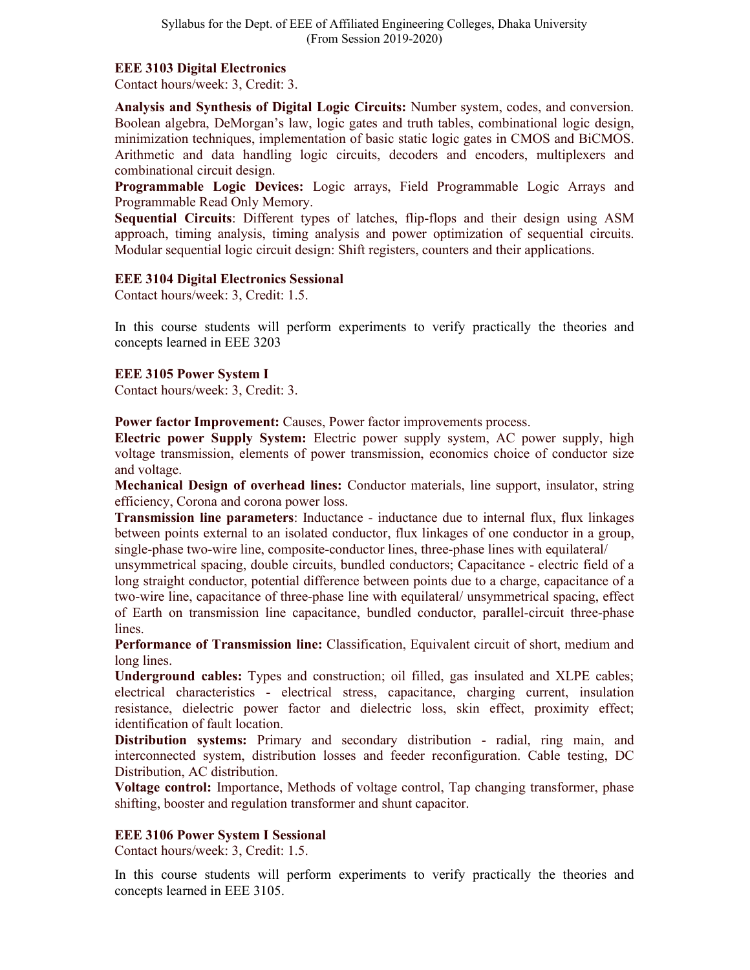### **EEE 3103 Digital Electronics**

Contact hours/week: 3, Credit: 3.

**Analysis and Synthesis of Digital Logic Circuits:** Number system, codes, and conversion. Boolean algebra, DeMorgan's law, logic gates and truth tables, combinational logic design, minimization techniques, implementation of basic static logic gates in CMOS and BiCMOS. Arithmetic and data handling logic circuits, decoders and encoders, multiplexers and combinational circuit design.

**Programmable Logic Devices:** Logic arrays, Field Programmable Logic Arrays and Programmable Read Only Memory.

**Sequential Circuits**: Different types of latches, flip-flops and their design using ASM approach, timing analysis, timing analysis and power optimization of sequential circuits. Modular sequential logic circuit design: Shift registers, counters and their applications.

### **EEE 3104 Digital Electronics Sessional**

Contact hours/week: 3, Credit: 1.5.

In this course students will perform experiments to verify practically the theories and concepts learned in EEE 3203

## **EEE 3105 Power System I**

Contact hours/week: 3, Credit: 3.

**Power factor Improvement:** Causes, Power factor improvements process.

**Electric power Supply System:** Electric power supply system, AC power supply, high voltage transmission, elements of power transmission, economics choice of conductor size and voltage.

**Mechanical Design of overhead lines:** Conductor materials, line support, insulator, string efficiency, Corona and corona power loss.

**Transmission line parameters**: Inductance - inductance due to internal flux, flux linkages between points external to an isolated conductor, flux linkages of one conductor in a group, single-phase two-wire line, composite-conductor lines, three-phase lines with equilateral/

unsymmetrical spacing, double circuits, bundled conductors; Capacitance - electric field of a long straight conductor, potential difference between points due to a charge, capacitance of a two-wire line, capacitance of three-phase line with equilateral/ unsymmetrical spacing, effect of Earth on transmission line capacitance, bundled conductor, parallel-circuit three-phase lines.

**Performance of Transmission line:** Classification, Equivalent circuit of short, medium and long lines.

**Underground cables:** Types and construction; oil filled, gas insulated and XLPE cables; electrical characteristics - electrical stress, capacitance, charging current, insulation resistance, dielectric power factor and dielectric loss, skin effect, proximity effect; identification of fault location.

**Distribution systems:** Primary and secondary distribution - radial, ring main, and interconnected system, distribution losses and feeder reconfiguration. Cable testing, DC Distribution, AC distribution.

**Voltage control:** Importance, Methods of voltage control, Tap changing transformer, phase shifting, booster and regulation transformer and shunt capacitor.

## **EEE 3106 Power System I Sessional**

Contact hours/week: 3, Credit: 1.5.

In this course students will perform experiments to verify practically the theories and concepts learned in EEE 3105.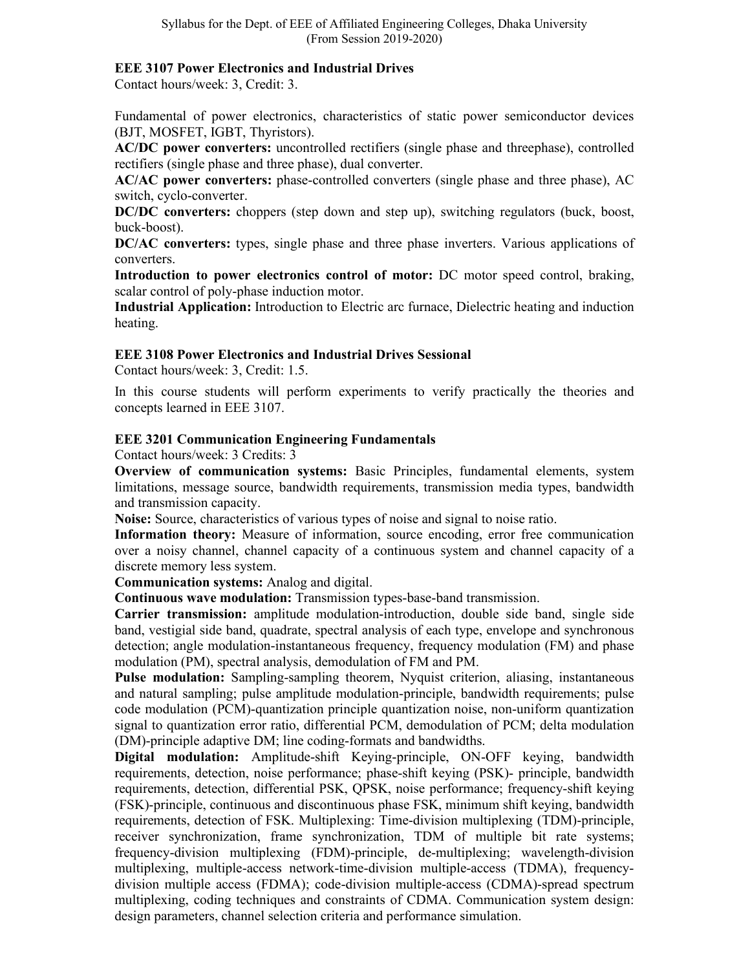#### **EEE 3107 Power Electronics and Industrial Drives**

Contact hours/week: 3, Credit: 3.

Fundamental of power electronics, characteristics of static power semiconductor devices (BJT, MOSFET, IGBT, Thyristors).

**AC/DC power converters:** uncontrolled rectifiers (single phase and threephase), controlled rectifiers (single phase and three phase), dual converter.

**AC/AC power converters:** phase-controlled converters (single phase and three phase), AC switch, cyclo-converter.

**DC/DC converters:** choppers (step down and step up), switching regulators (buck, boost, buck-boost).

**DC/AC converters:** types, single phase and three phase inverters. Various applications of converters.

**Introduction to power electronics control of motor:** DC motor speed control, braking, scalar control of poly-phase induction motor.

**Industrial Application:** Introduction to Electric arc furnace, Dielectric heating and induction heating.

### **EEE 3108 Power Electronics and Industrial Drives Sessional**

Contact hours/week: 3, Credit: 1.5.

In this course students will perform experiments to verify practically the theories and concepts learned in EEE 3107.

### **EEE 3201 Communication Engineering Fundamentals**

Contact hours/week: 3 Credits: 3

**Overview of communication systems:** Basic Principles, fundamental elements, system limitations, message source, bandwidth requirements, transmission media types, bandwidth and transmission capacity.

**Noise:** Source, characteristics of various types of noise and signal to noise ratio.

**Information theory:** Measure of information, source encoding, error free communication over a noisy channel, channel capacity of a continuous system and channel capacity of a discrete memory less system.

**Communication systems:** Analog and digital.

**Continuous wave modulation:** Transmission types-base-band transmission.

**Carrier transmission:** amplitude modulation-introduction, double side band, single side band, vestigial side band, quadrate, spectral analysis of each type, envelope and synchronous detection; angle modulation-instantaneous frequency, frequency modulation (FM) and phase modulation (PM), spectral analysis, demodulation of FM and PM.

**Pulse modulation:** Sampling-sampling theorem, Nyquist criterion, aliasing, instantaneous and natural sampling; pulse amplitude modulation-principle, bandwidth requirements; pulse code modulation (PCM)-quantization principle quantization noise, non-uniform quantization signal to quantization error ratio, differential PCM, demodulation of PCM; delta modulation (DM)-principle adaptive DM; line coding-formats and bandwidths.

**Digital modulation:** Amplitude-shift Keying-principle, ON-OFF keying, bandwidth requirements, detection, noise performance; phase-shift keying (PSK)- principle, bandwidth requirements, detection, differential PSK, QPSK, noise performance; frequency-shift keying (FSK)-principle, continuous and discontinuous phase FSK, minimum shift keying, bandwidth requirements, detection of FSK. Multiplexing: Time-division multiplexing (TDM)-principle, receiver synchronization, frame synchronization, TDM of multiple bit rate systems; frequency-division multiplexing (FDM)-principle, de-multiplexing; wavelength-division multiplexing, multiple-access network-time-division multiple-access (TDMA), frequencydivision multiple access (FDMA); code-division multiple-access (CDMA)-spread spectrum multiplexing, coding techniques and constraints of CDMA. Communication system design: design parameters, channel selection criteria and performance simulation.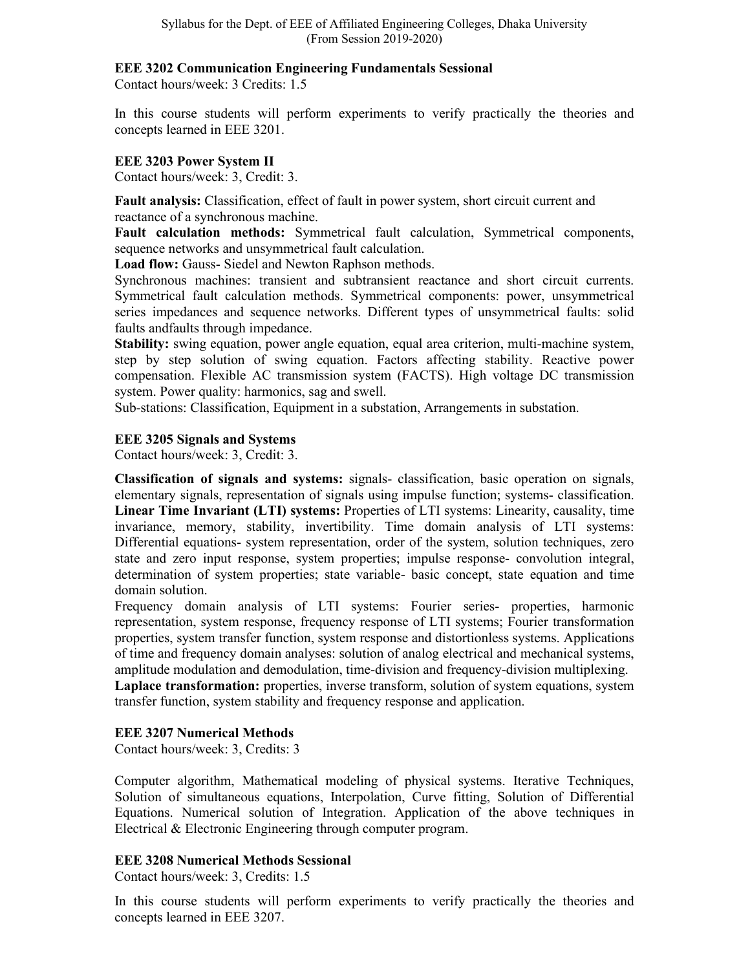### **EEE 3202 Communication Engineering Fundamentals Sessional**

Contact hours/week: 3 Credits: 1.5

In this course students will perform experiments to verify practically the theories and concepts learned in EEE 3201.

## **EEE 3203 Power System II**

Contact hours/week: 3, Credit: 3.

**Fault analysis:** Classification, effect of fault in power system, short circuit current and reactance of a synchronous machine.

**Fault calculation methods:** Symmetrical fault calculation, Symmetrical components, sequence networks and unsymmetrical fault calculation.

**Load flow:** Gauss- Siedel and Newton Raphson methods.

Synchronous machines: transient and subtransient reactance and short circuit currents. Symmetrical fault calculation methods. Symmetrical components: power, unsymmetrical series impedances and sequence networks. Different types of unsymmetrical faults: solid faults andfaults through impedance.

**Stability:** swing equation, power angle equation, equal area criterion, multi-machine system, step by step solution of swing equation. Factors affecting stability. Reactive power compensation. Flexible AC transmission system (FACTS). High voltage DC transmission system. Power quality: harmonics, sag and swell.

Sub-stations: Classification, Equipment in a substation, Arrangements in substation.

## **EEE 3205 Signals and Systems**

Contact hours/week: 3, Credit: 3.

**Classification of signals and systems:** signals- classification, basic operation on signals, elementary signals, representation of signals using impulse function; systems- classification. **Linear Time Invariant (LTI) systems:** Properties of LTI systems: Linearity, causality, time invariance, memory, stability, invertibility. Time domain analysis of LTI systems: Differential equations- system representation, order of the system, solution techniques, zero state and zero input response, system properties; impulse response- convolution integral, determination of system properties; state variable- basic concept, state equation and time domain solution.

Frequency domain analysis of LTI systems: Fourier series- properties, harmonic representation, system response, frequency response of LTI systems; Fourier transformation properties, system transfer function, system response and distortionless systems. Applications of time and frequency domain analyses: solution of analog electrical and mechanical systems, amplitude modulation and demodulation, time-division and frequency-division multiplexing. Laplace transformation: properties, inverse transform, solution of system equations, system transfer function, system stability and frequency response and application.

## **EEE 3207 Numerical Methods**

Contact hours/week: 3, Credits: 3

Computer algorithm, Mathematical modeling of physical systems. Iterative Techniques, Solution of simultaneous equations, Interpolation, Curve fitting, Solution of Differential Equations. Numerical solution of Integration. Application of the above techniques in Electrical & Electronic Engineering through computer program.

## **EEE 3208 Numerical Methods Sessional**

Contact hours/week: 3, Credits: 1.5

In this course students will perform experiments to verify practically the theories and concepts learned in EEE 3207.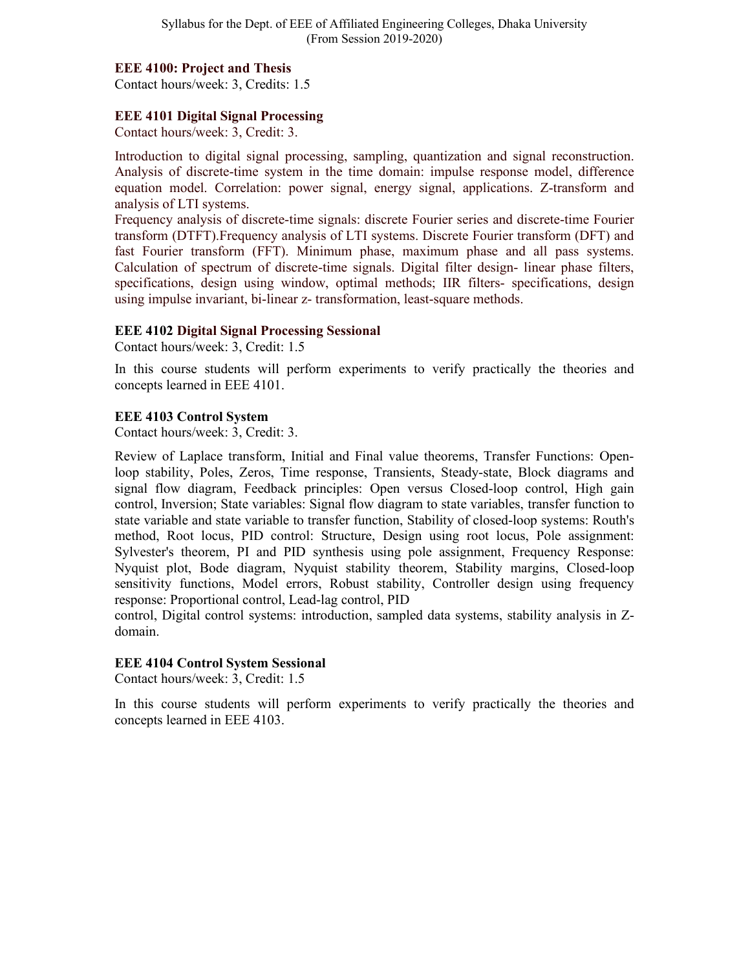#### **EEE 4100: Project and Thesis**

Contact hours/week: 3, Credits: 1.5

## **EEE 4101 Digital Signal Processing**

Contact hours/week: 3, Credit: 3.

Introduction to digital signal processing, sampling, quantization and signal reconstruction. Analysis of discrete-time system in the time domain: impulse response model, difference equation model. Correlation: power signal, energy signal, applications. Z-transform and analysis of LTI systems.

Frequency analysis of discrete-time signals: discrete Fourier series and discrete-time Fourier transform (DTFT).Frequency analysis of LTI systems. Discrete Fourier transform (DFT) and fast Fourier transform (FFT). Minimum phase, maximum phase and all pass systems. Calculation of spectrum of discrete-time signals. Digital filter design- linear phase filters, specifications, design using window, optimal methods; IIR filters- specifications, design using impulse invariant, bi-linear z- transformation, least-square methods.

### **EEE 4102 Digital Signal Processing Sessional**

Contact hours/week: 3, Credit: 1.5

In this course students will perform experiments to verify practically the theories and concepts learned in EEE 4101.

### **EEE 4103 Control System**

Contact hours/week: 3, Credit: 3.

Review of Laplace transform, Initial and Final value theorems, Transfer Functions: Openloop stability, Poles, Zeros, Time response, Transients, Steady-state, Block diagrams and signal flow diagram, Feedback principles: Open versus Closed-loop control, High gain control, Inversion; State variables: Signal flow diagram to state variables, transfer function to state variable and state variable to transfer function, Stability of closed-loop systems: Routh's method, Root locus, PID control: Structure, Design using root locus, Pole assignment: Sylvester's theorem, PI and PID synthesis using pole assignment, Frequency Response: Nyquist plot, Bode diagram, Nyquist stability theorem, Stability margins, Closed-loop sensitivity functions, Model errors, Robust stability, Controller design using frequency response: Proportional control, Lead-lag control, PID

control, Digital control systems: introduction, sampled data systems, stability analysis in Zdomain.

## **EEE 4104 Control System Sessional**

Contact hours/week: 3, Credit: 1.5

In this course students will perform experiments to verify practically the theories and concepts learned in EEE 4103.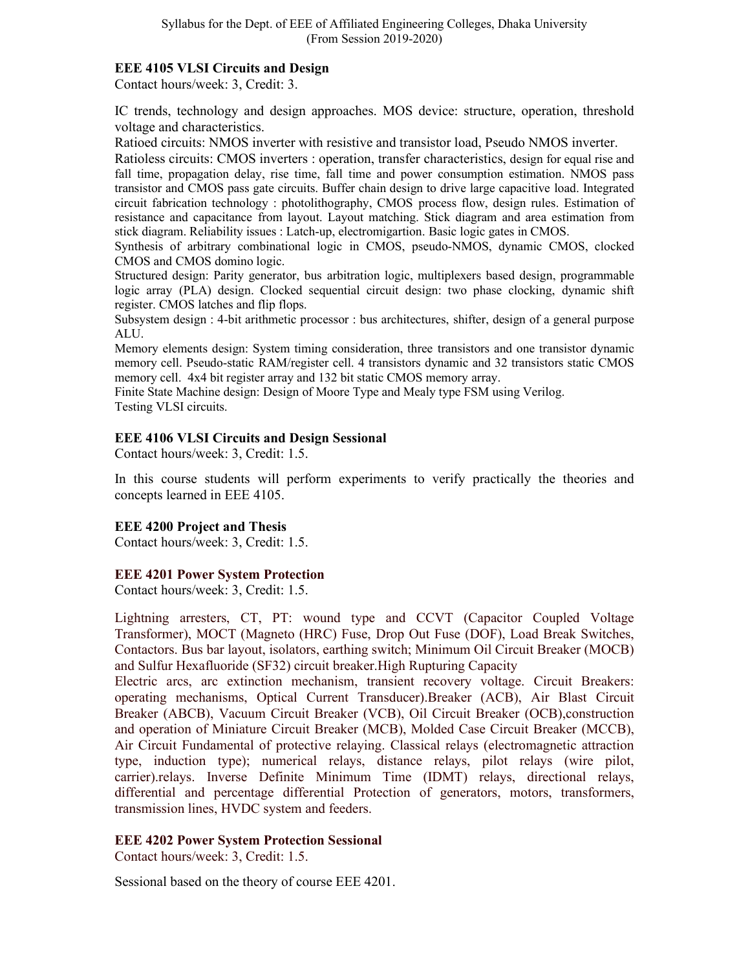## **EEE 4105 VLSI Circuits and Design**

Contact hours/week: 3, Credit: 3.

IC trends, technology and design approaches. MOS device: structure, operation, threshold voltage and characteristics.

Ratioed circuits: NMOS inverter with resistive and transistor load, Pseudo NMOS inverter.

Ratioless circuits: CMOS inverters : operation, transfer characteristics, design for equal rise and fall time, propagation delay, rise time, fall time and power consumption estimation. NMOS pass transistor and CMOS pass gate circuits. Buffer chain design to drive large capacitive load. Integrated circuit fabrication technology : photolithography, CMOS process flow, design rules. Estimation of resistance and capacitance from layout. Layout matching. Stick diagram and area estimation from stick diagram. Reliability issues : Latch-up, electromigartion. Basic logic gates in CMOS.

Synthesis of arbitrary combinational logic in CMOS, pseudo-NMOS, dynamic CMOS, clocked CMOS and CMOS domino logic.

Structured design: Parity generator, bus arbitration logic, multiplexers based design, programmable logic array (PLA) design. Clocked sequential circuit design: two phase clocking, dynamic shift register. CMOS latches and flip flops.

Subsystem design : 4-bit arithmetic processor : bus architectures, shifter, design of a general purpose ALU.

Memory elements design: System timing consideration, three transistors and one transistor dynamic memory cell. Pseudo-static RAM/register cell. 4 transistors dynamic and 32 transistors static CMOS memory cell. 4x4 bit register array and 132 bit static CMOS memory array.

Finite State Machine design: Design of Moore Type and Mealy type FSM using Verilog. Testing VLSI circuits.

## **EEE 4106 VLSI Circuits and Design Sessional**

Contact hours/week: 3, Credit: 1.5.

In this course students will perform experiments to verify practically the theories and concepts learned in EEE 4105.

## **EEE 4200 Project and Thesis**

Contact hours/week: 3, Credit: 1.5.

#### **EEE 4201 Power System Protection**

Contact hours/week: 3, Credit: 1.5.

Lightning arresters, CT, PT: wound type and CCVT (Capacitor Coupled Voltage Transformer), MOCT (Magneto (HRC) Fuse, Drop Out Fuse (DOF), Load Break Switches, Contactors. Bus bar layout, isolators, earthing switch; Minimum Oil Circuit Breaker (MOCB) and Sulfur Hexafluoride (SF32) circuit breaker.High Rupturing Capacity

Electric arcs, arc extinction mechanism, transient recovery voltage. Circuit Breakers: operating mechanisms, Optical Current Transducer).Breaker (ACB), Air Blast Circuit Breaker (ABCB), Vacuum Circuit Breaker (VCB), Oil Circuit Breaker (OCB),construction and operation of Miniature Circuit Breaker (MCB), Molded Case Circuit Breaker (MCCB), Air Circuit Fundamental of protective relaying. Classical relays (electromagnetic attraction type, induction type); numerical relays, distance relays, pilot relays (wire pilot, carrier).relays. Inverse Definite Minimum Time (IDMT) relays, directional relays, differential and percentage differential Protection of generators, motors, transformers, transmission lines, HVDC system and feeders.

## **EEE 4202 Power System Protection Sessional**

Contact hours/week: 3, Credit: 1.5.

Sessional based on the theory of course EEE 4201.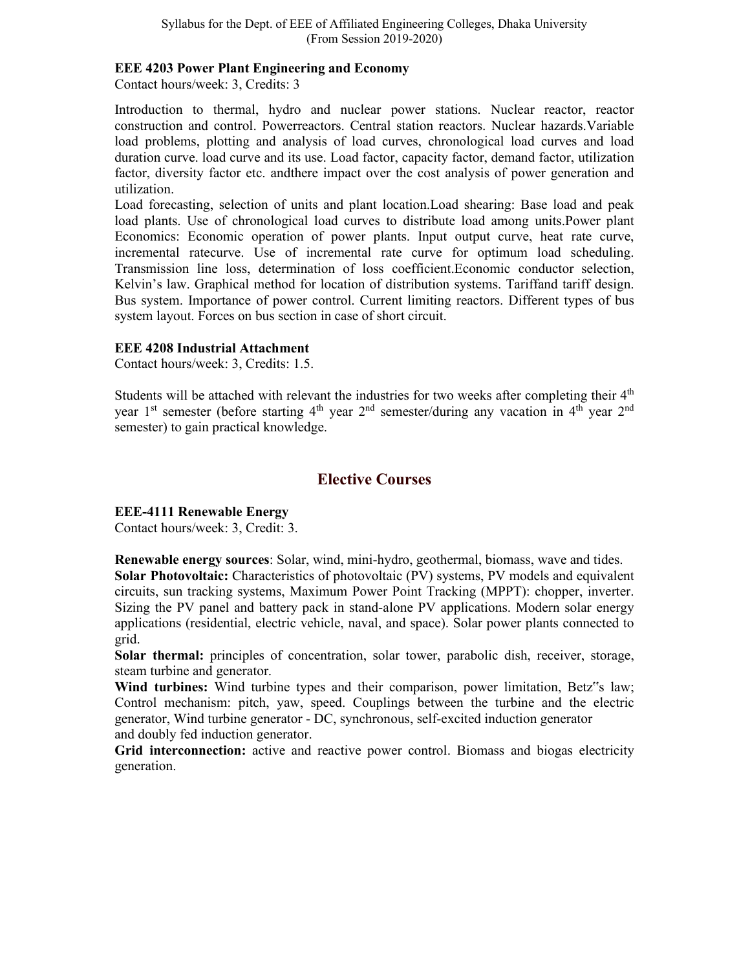#### **EEE 4203 Power Plant Engineering and Economy**

Contact hours/week: 3, Credits: 3

Introduction to thermal, hydro and nuclear power stations. Nuclear reactor, reactor construction and control. Powerreactors. Central station reactors. Nuclear hazards.Variable load problems, plotting and analysis of load curves, chronological load curves and load duration curve. load curve and its use. Load factor, capacity factor, demand factor, utilization factor, diversity factor etc. andthere impact over the cost analysis of power generation and utilization.

Load forecasting, selection of units and plant location.Load shearing: Base load and peak load plants. Use of chronological load curves to distribute load among units.Power plant Economics: Economic operation of power plants. Input output curve, heat rate curve, incremental ratecurve. Use of incremental rate curve for optimum load scheduling. Transmission line loss, determination of loss coefficient.Economic conductor selection, Kelvin's law. Graphical method for location of distribution systems. Tariffand tariff design. Bus system. Importance of power control. Current limiting reactors. Different types of bus system layout. Forces on bus section in case of short circuit.

### **EEE 4208 Industrial Attachment**

Contact hours/week: 3, Credits: 1.5.

Students will be attached with relevant the industries for two weeks after completing their 4<sup>th</sup> year 1<sup>st</sup> semester (before starting  $4<sup>th</sup>$  year  $2<sup>nd</sup>$  semester/during any vacation in  $4<sup>th</sup>$  year  $2<sup>nd</sup>$ semester) to gain practical knowledge.

## **Elective Courses**

## **EEE-4111 Renewable Energy**

Contact hours/week: 3, Credit: 3.

**Renewable energy sources**: Solar, wind, mini-hydro, geothermal, biomass, wave and tides. **Solar Photovoltaic:** Characteristics of photovoltaic (PV) systems, PV models and equivalent circuits, sun tracking systems, Maximum Power Point Tracking (MPPT): chopper, inverter. Sizing the PV panel and battery pack in stand-alone PV applications. Modern solar energy applications (residential, electric vehicle, naval, and space). Solar power plants connected to grid.

**Solar thermal:** principles of concentration, solar tower, parabolic dish, receiver, storage, steam turbine and generator.

**Wind turbines:** Wind turbine types and their comparison, power limitation, Betz"s law; Control mechanism: pitch, yaw, speed. Couplings between the turbine and the electric generator, Wind turbine generator - DC, synchronous, self-excited induction generator and doubly fed induction generator.

**Grid interconnection:** active and reactive power control. Biomass and biogas electricity generation.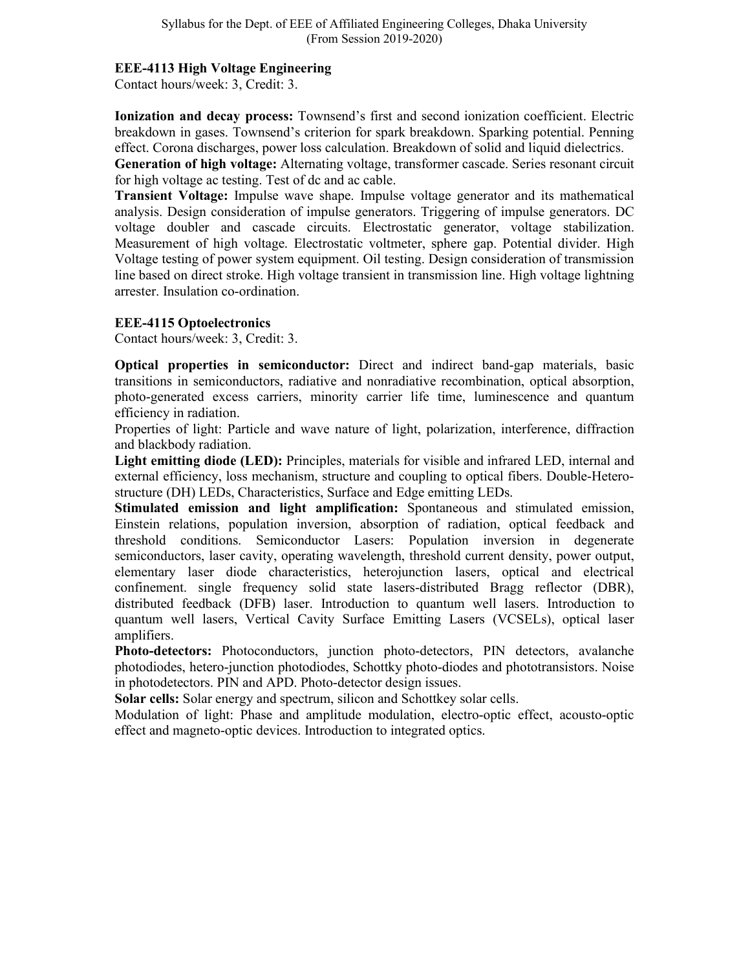## **EEE-4113 High Voltage Engineering**

Contact hours/week: 3, Credit: 3.

**Ionization and decay process:** Townsend's first and second ionization coefficient. Electric breakdown in gases. Townsend's criterion for spark breakdown. Sparking potential. Penning effect. Corona discharges, power loss calculation. Breakdown of solid and liquid dielectrics.

**Generation of high voltage:** Alternating voltage, transformer cascade. Series resonant circuit for high voltage ac testing. Test of dc and ac cable.

**Transient Voltage:** Impulse wave shape. Impulse voltage generator and its mathematical analysis. Design consideration of impulse generators. Triggering of impulse generators. DC voltage doubler and cascade circuits. Electrostatic generator, voltage stabilization. Measurement of high voltage. Electrostatic voltmeter, sphere gap. Potential divider. High Voltage testing of power system equipment. Oil testing. Design consideration of transmission line based on direct stroke. High voltage transient in transmission line. High voltage lightning arrester. Insulation co-ordination.

### **EEE-4115 Optoelectronics**

Contact hours/week: 3, Credit: 3.

**Optical properties in semiconductor:** Direct and indirect band-gap materials, basic transitions in semiconductors, radiative and nonradiative recombination, optical absorption, photo-generated excess carriers, minority carrier life time, luminescence and quantum efficiency in radiation.

Properties of light: Particle and wave nature of light, polarization, interference, diffraction and blackbody radiation.

**Light emitting diode (LED):** Principles, materials for visible and infrared LED, internal and external efficiency, loss mechanism, structure and coupling to optical fibers. Double-Heterostructure (DH) LEDs, Characteristics, Surface and Edge emitting LEDs.

**Stimulated emission and light amplification:** Spontaneous and stimulated emission, Einstein relations, population inversion, absorption of radiation, optical feedback and threshold conditions. Semiconductor Lasers: Population inversion in degenerate semiconductors, laser cavity, operating wavelength, threshold current density, power output, elementary laser diode characteristics, heterojunction lasers, optical and electrical confinement. single frequency solid state lasers-distributed Bragg reflector (DBR), distributed feedback (DFB) laser. Introduction to quantum well lasers. Introduction to quantum well lasers, Vertical Cavity Surface Emitting Lasers (VCSELs), optical laser amplifiers.

**Photo-detectors:** Photoconductors, junction photo-detectors, PIN detectors, avalanche photodiodes, hetero-junction photodiodes, Schottky photo-diodes and phototransistors. Noise in photodetectors. PIN and APD. Photo-detector design issues.

**Solar cells:** Solar energy and spectrum, silicon and Schottkey solar cells.

Modulation of light: Phase and amplitude modulation, electro-optic effect, acousto-optic effect and magneto-optic devices. Introduction to integrated optics.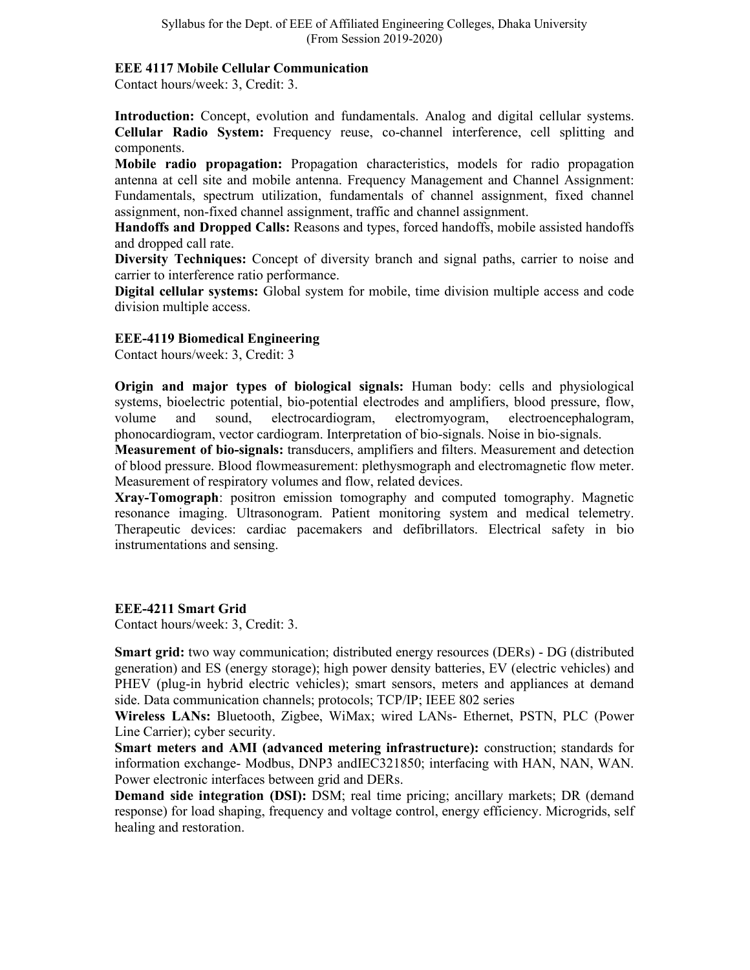#### **EEE 4117 Mobile Cellular Communication**

Contact hours/week: 3, Credit: 3.

**Introduction:** Concept, evolution and fundamentals. Analog and digital cellular systems. **Cellular Radio System:** Frequency reuse, co-channel interference, cell splitting and components.

**Mobile radio propagation:** Propagation characteristics, models for radio propagation antenna at cell site and mobile antenna. Frequency Management and Channel Assignment: Fundamentals, spectrum utilization, fundamentals of channel assignment, fixed channel assignment, non-fixed channel assignment, traffic and channel assignment.

**Handoffs and Dropped Calls:** Reasons and types, forced handoffs, mobile assisted handoffs and dropped call rate.

**Diversity Techniques:** Concept of diversity branch and signal paths, carrier to noise and carrier to interference ratio performance.

**Digital cellular systems:** Global system for mobile, time division multiple access and code division multiple access.

### **EEE-4119 Biomedical Engineering**

Contact hours/week: 3, Credit: 3

**Origin and major types of biological signals:** Human body: cells and physiological systems, bioelectric potential, bio-potential electrodes and amplifiers, blood pressure, flow, volume and sound, electrocardiogram, electromyogram, electroencephalogram, phonocardiogram, vector cardiogram. Interpretation of bio-signals. Noise in bio-signals.

**Measurement of bio-signals:** transducers, amplifiers and filters. Measurement and detection of blood pressure. Blood flowmeasurement: plethysmograph and electromagnetic flow meter. Measurement of respiratory volumes and flow, related devices.

**Xray-Tomograph**: positron emission tomography and computed tomography. Magnetic resonance imaging. Ultrasonogram. Patient monitoring system and medical telemetry. Therapeutic devices: cardiac pacemakers and defibrillators. Electrical safety in bio instrumentations and sensing.

#### **EEE-4211 Smart Grid**

Contact hours/week: 3, Credit: 3.

**Smart grid:** two way communication; distributed energy resources (DERs) - DG (distributed generation) and ES (energy storage); high power density batteries, EV (electric vehicles) and PHEV (plug-in hybrid electric vehicles); smart sensors, meters and appliances at demand side. Data communication channels; protocols; TCP/IP; IEEE 802 series

**Wireless LANs:** Bluetooth, Zigbee, WiMax; wired LANs- Ethernet, PSTN, PLC (Power Line Carrier); cyber security.

**Smart meters and AMI (advanced metering infrastructure):** construction; standards for information exchange- Modbus, DNP3 andIEC321850; interfacing with HAN, NAN, WAN. Power electronic interfaces between grid and DERs.

**Demand side integration (DSI):** DSM; real time pricing; ancillary markets; DR (demand response) for load shaping, frequency and voltage control, energy efficiency. Microgrids, self healing and restoration.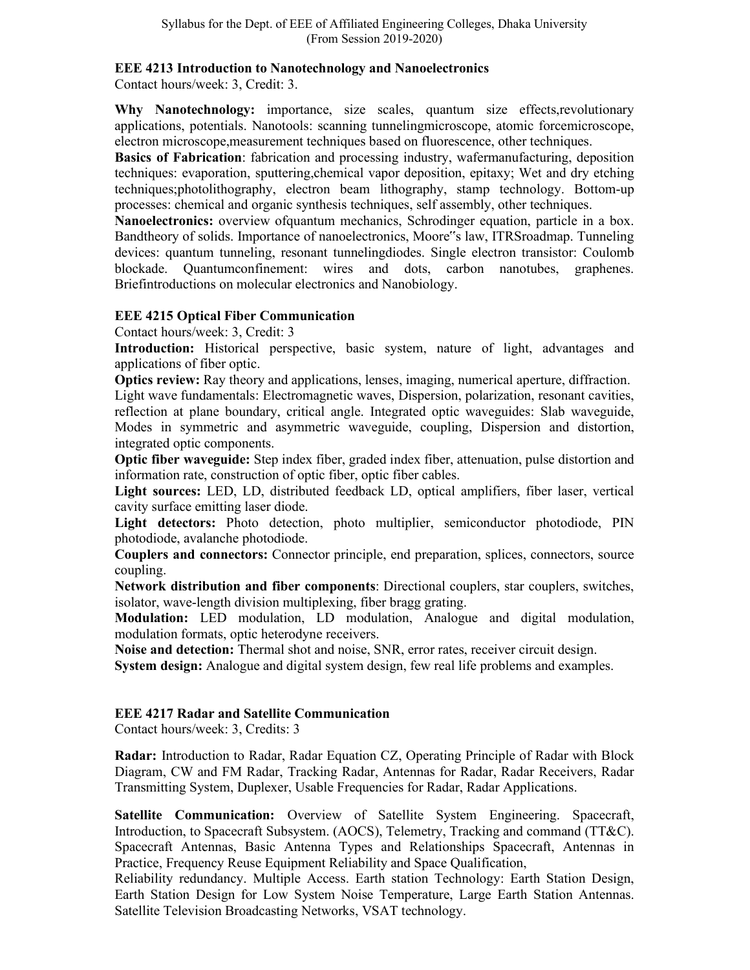### **EEE 4213 Introduction to Nanotechnology and Nanoelectronics**

Contact hours/week: 3, Credit: 3.

**Why Nanotechnology:** importance, size scales, quantum size effects,revolutionary applications, potentials. Nanotools: scanning tunnelingmicroscope, atomic forcemicroscope, electron microscope,measurement techniques based on fluorescence, other techniques.

**Basics of Fabrication**: fabrication and processing industry, wafermanufacturing, deposition techniques: evaporation, sputtering,chemical vapor deposition, epitaxy; Wet and dry etching techniques;photolithography, electron beam lithography, stamp technology. Bottom-up processes: chemical and organic synthesis techniques, self assembly, other techniques.

**Nanoelectronics:** overview ofquantum mechanics, Schrodinger equation, particle in a box. Bandtheory of solids. Importance of nanoelectronics, Moore"s law, ITRSroadmap. Tunneling devices: quantum tunneling, resonant tunnelingdiodes. Single electron transistor: Coulomb blockade. Quantumconfinement: wires and dots, carbon nanotubes, graphenes. Briefintroductions on molecular electronics and Nanobiology.

## **EEE 4215 Optical Fiber Communication**

Contact hours/week: 3, Credit: 3

**Introduction:** Historical perspective, basic system, nature of light, advantages and applications of fiber optic.

**Optics review:** Ray theory and applications, lenses, imaging, numerical aperture, diffraction. Light wave fundamentals: Electromagnetic waves, Dispersion, polarization, resonant cavities, reflection at plane boundary, critical angle. Integrated optic waveguides: Slab waveguide, Modes in symmetric and asymmetric waveguide, coupling, Dispersion and distortion, integrated optic components.

**Optic fiber waveguide:** Step index fiber, graded index fiber, attenuation, pulse distortion and information rate, construction of optic fiber, optic fiber cables.

**Light sources:** LED, LD, distributed feedback LD, optical amplifiers, fiber laser, vertical cavity surface emitting laser diode.

**Light detectors:** Photo detection, photo multiplier, semiconductor photodiode, PIN photodiode, avalanche photodiode.

**Couplers and connectors:** Connector principle, end preparation, splices, connectors, source coupling.

**Network distribution and fiber components**: Directional couplers, star couplers, switches, isolator, wave-length division multiplexing, fiber bragg grating.

**Modulation:** LED modulation, LD modulation, Analogue and digital modulation, modulation formats, optic heterodyne receivers.

**Noise and detection:** Thermal shot and noise, SNR, error rates, receiver circuit design.

**System design:** Analogue and digital system design, few real life problems and examples.

## **EEE 4217 Radar and Satellite Communication**

Contact hours/week: 3, Credits: 3

**Radar:** Introduction to Radar, Radar Equation CZ, Operating Principle of Radar with Block Diagram, CW and FM Radar, Tracking Radar, Antennas for Radar, Radar Receivers, Radar Transmitting System, Duplexer, Usable Frequencies for Radar, Radar Applications.

**Satellite Communication:** Overview of Satellite System Engineering. Spacecraft, Introduction, to Spacecraft Subsystem. (AOCS), Telemetry, Tracking and command (TT&C). Spacecraft Antennas, Basic Antenna Types and Relationships Spacecraft, Antennas in Practice, Frequency Reuse Equipment Reliability and Space Qualification,

Reliability redundancy. Multiple Access. Earth station Technology: Earth Station Design, Earth Station Design for Low System Noise Temperature, Large Earth Station Antennas. Satellite Television Broadcasting Networks, VSAT technology.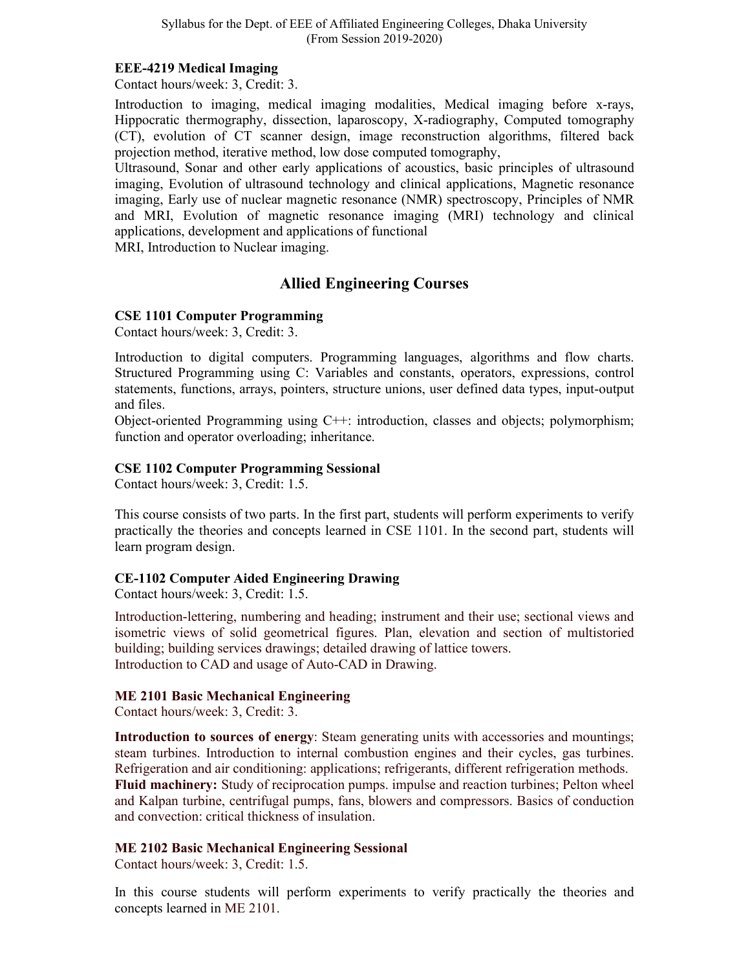#### **EEE-4219 Medical Imaging**

Contact hours/week: 3, Credit: 3.

Introduction to imaging, medical imaging modalities, Medical imaging before x-rays, Hippocratic thermography, dissection, laparoscopy, X-radiography, Computed tomography (CT), evolution of CT scanner design, image reconstruction algorithms, filtered back projection method, iterative method, low dose computed tomography,

Ultrasound, Sonar and other early applications of acoustics, basic principles of ultrasound imaging, Evolution of ultrasound technology and clinical applications, Magnetic resonance imaging, Early use of nuclear magnetic resonance (NMR) spectroscopy, Principles of NMR and MRI, Evolution of magnetic resonance imaging (MRI) technology and clinical applications, development and applications of functional

MRI, Introduction to Nuclear imaging.

# **Allied Engineering Courses**

### **CSE 1101 Computer Programming**

Contact hours/week: 3, Credit: 3.

Introduction to digital computers. Programming languages, algorithms and flow charts. Structured Programming using C: Variables and constants, operators, expressions, control statements, functions, arrays, pointers, structure unions, user defined data types, input-output and files.

Object-oriented Programming using C++: introduction, classes and objects; polymorphism; function and operator overloading; inheritance.

### **CSE 1102 Computer Programming Sessional**

Contact hours/week: 3, Credit: 1.5.

This course consists of two parts. In the first part, students will perform experiments to verify practically the theories and concepts learned in CSE 1101. In the second part, students will learn program design.

## **CE-1102 Computer Aided Engineering Drawing**

Contact hours/week: 3, Credit: 1.5.

Introduction-lettering, numbering and heading; instrument and their use; sectional views and isometric views of solid geometrical figures. Plan, elevation and section of multistoried building; building services drawings; detailed drawing of lattice towers. Introduction to CAD and usage of Auto-CAD in Drawing.

## **ME 2101 Basic Mechanical Engineering**

Contact hours/week: 3, Credit: 3.

**Introduction to sources of energy**: Steam generating units with accessories and mountings; steam turbines. Introduction to internal combustion engines and their cycles, gas turbines. Refrigeration and air conditioning: applications; refrigerants, different refrigeration methods. **Fluid machinery:** Study of reciprocation pumps. impulse and reaction turbines; Pelton wheel and Kalpan turbine, centrifugal pumps, fans, blowers and compressors. Basics of conduction and convection: critical thickness of insulation.

## **ME 2102 Basic Mechanical Engineering Sessional**

Contact hours/week: 3, Credit: 1.5.

In this course students will perform experiments to verify practically the theories and concepts learned in ME 2101.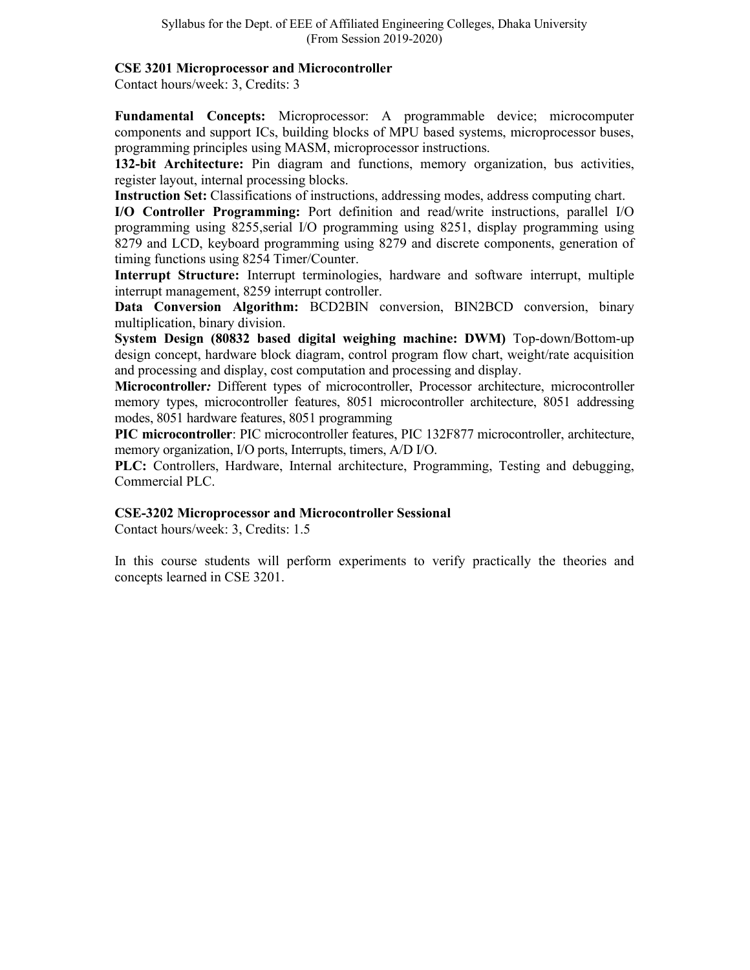#### **CSE 3201 Microprocessor and Microcontroller**

Contact hours/week: 3, Credits: 3

**Fundamental Concepts:** Microprocessor: A programmable device; microcomputer components and support ICs, building blocks of MPU based systems, microprocessor buses, programming principles using MASM, microprocessor instructions.

**132-bit Architecture:** Pin diagram and functions, memory organization, bus activities, register layout, internal processing blocks.

**Instruction Set:** Classifications of instructions, addressing modes, address computing chart.

**I/O Controller Programming:** Port definition and read/write instructions, parallel I/O programming using 8255,serial I/O programming using 8251, display programming using 8279 and LCD, keyboard programming using 8279 and discrete components, generation of timing functions using 8254 Timer/Counter.

**Interrupt Structure:** Interrupt terminologies, hardware and software interrupt, multiple interrupt management, 8259 interrupt controller.

**Data Conversion Algorithm:** BCD2BIN conversion, BIN2BCD conversion, binary multiplication, binary division.

**System Design (80832 based digital weighing machine: DWM)** Top-down/Bottom-up design concept, hardware block diagram, control program flow chart, weight/rate acquisition and processing and display, cost computation and processing and display.

**Microcontroller***:* Different types of microcontroller, Processor architecture, microcontroller memory types, microcontroller features, 8051 microcontroller architecture, 8051 addressing modes, 8051 hardware features, 8051 programming

**PIC microcontroller**: PIC microcontroller features, PIC 132F877 microcontroller, architecture, memory organization, I/O ports, Interrupts, timers, A/D I/O.

**PLC:** Controllers, Hardware, Internal architecture, Programming, Testing and debugging, Commercial PLC.

#### **CSE-3202 Microprocessor and Microcontroller Sessional**

Contact hours/week: 3, Credits: 1.5

In this course students will perform experiments to verify practically the theories and concepts learned in CSE 3201.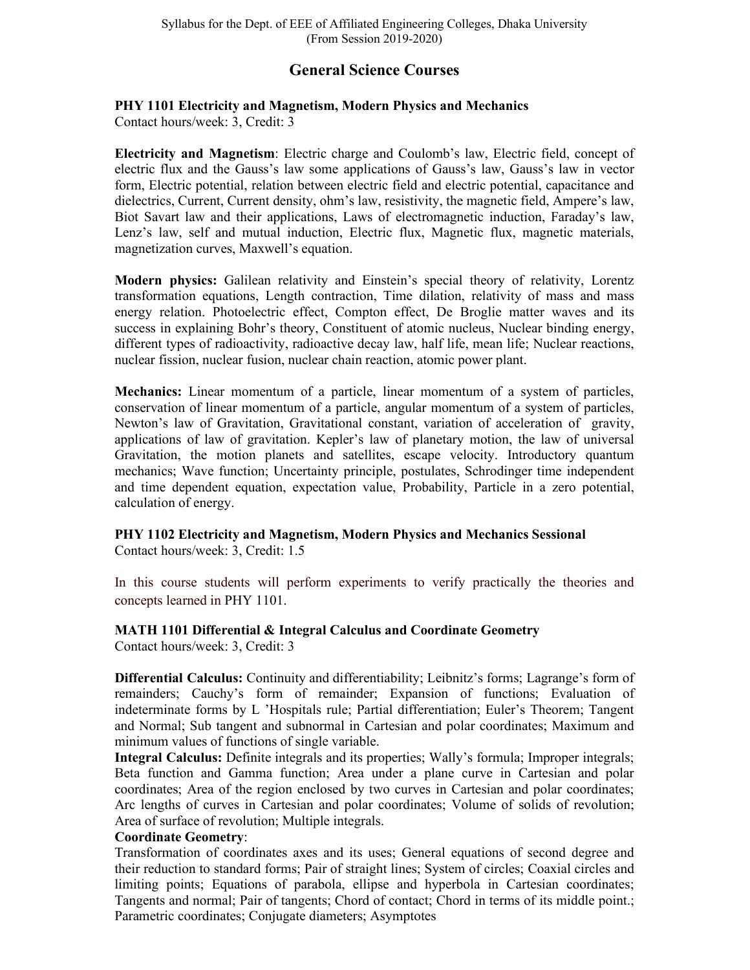# **General Science Courses**

## **PHY 1101 Electricity and Magnetism, Modern Physics and Mechanics**

Contact hours/week: 3, Credit: 3

**Electricity and Magnetism**: Electric charge and Coulomb's law, Electric field, concept of electric flux and the Gauss's law some applications of Gauss's law, Gauss's law in vector form, Electric potential, relation between electric field and electric potential, capacitance and dielectrics, Current, Current density, ohm's law, resistivity, the magnetic field, Ampere's law, Biot Savart law and their applications, Laws of electromagnetic induction, Faraday's law, Lenz's law, self and mutual induction, Electric flux, Magnetic flux, magnetic materials, magnetization curves, Maxwell's equation.

**Modern physics:** Galilean relativity and Einstein's special theory of relativity, Lorentz transformation equations, Length contraction, Time dilation, relativity of mass and mass energy relation. Photoelectric effect, Compton effect, De Broglie matter waves and its success in explaining Bohr's theory, Constituent of atomic nucleus, Nuclear binding energy, different types of radioactivity, radioactive decay law, half life, mean life; Nuclear reactions, nuclear fission, nuclear fusion, nuclear chain reaction, atomic power plant.

**Mechanics:** Linear momentum of a particle, linear momentum of a system of particles, conservation of linear momentum of a particle, angular momentum of a system of particles, Newton's law of Gravitation, Gravitational constant, variation of acceleration of gravity, applications of law of gravitation. Kepler's law of planetary motion, the law of universal Gravitation, the motion planets and satellites, escape velocity. Introductory quantum mechanics; Wave function; Uncertainty principle, postulates, Schrodinger time independent and time dependent equation, expectation value, Probability, Particle in a zero potential, calculation of energy.

# **PHY 1102 Electricity and Magnetism, Modern Physics and Mechanics Sessional**

Contact hours/week: 3, Credit: 1.5

In this course students will perform experiments to verify practically the theories and concepts learned in PHY 1101.

## **MATH 1101 Differential & Integral Calculus and Coordinate Geometry**

Contact hours/week: 3, Credit: 3

**Differential Calculus:** Continuity and differentiability; Leibnitz's forms; Lagrange's form of remainders; Cauchy's form of remainder; Expansion of functions; Evaluation of indeterminate forms by L 'Hospitals rule; Partial differentiation; Euler's Theorem; Tangent and Normal; Sub tangent and subnormal in Cartesian and polar coordinates; Maximum and minimum values of functions of single variable.

**Integral Calculus:** Definite integrals and its properties; Wally's formula; Improper integrals; Beta function and Gamma function; Area under a plane curve in Cartesian and polar coordinates; Area of the region enclosed by two curves in Cartesian and polar coordinates; Arc lengths of curves in Cartesian and polar coordinates; Volume of solids of revolution; Area of surface of revolution; Multiple integrals.

## **Coordinate Geometry**:

Transformation of coordinates axes and its uses; General equations of second degree and their reduction to standard forms; Pair of straight lines; System of circles; Coaxial circles and limiting points; Equations of parabola, ellipse and hyperbola in Cartesian coordinates; Tangents and normal; Pair of tangents; Chord of contact; Chord in terms of its middle point.; Parametric coordinates; Conjugate diameters; Asymptotes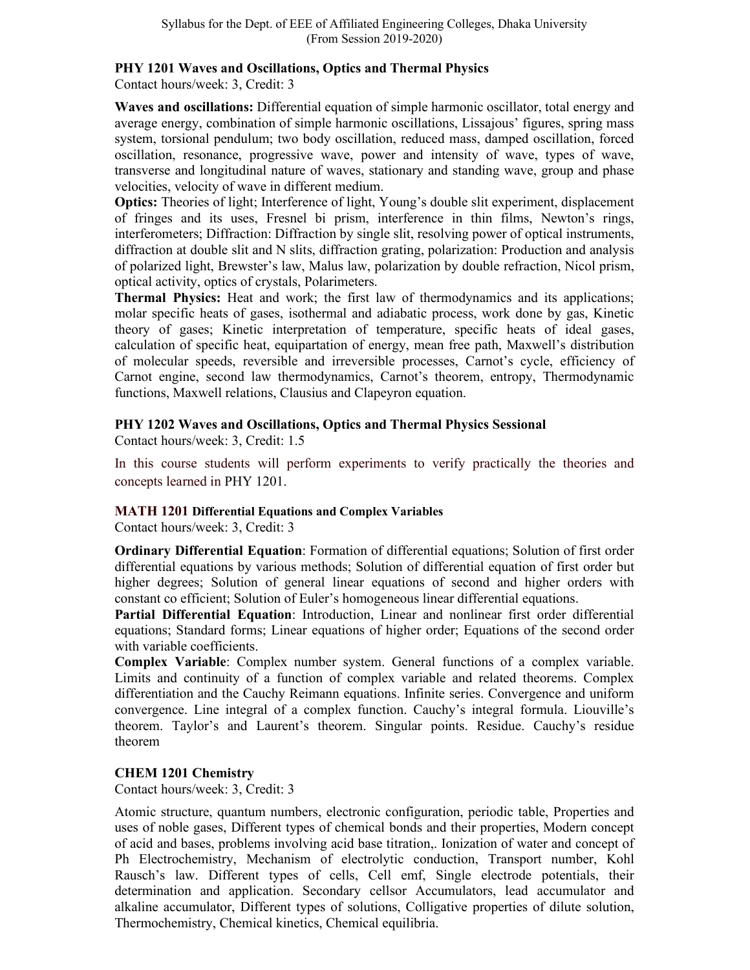## **PHY 1201 Waves and Oscillations, Optics and Thermal Physics**

Contact hours/week: 3, Credit: 3

**Waves and oscillations:** Differential equation of simple harmonic oscillator, total energy and average energy, combination of simple harmonic oscillations, Lissajous' figures, spring mass system, torsional pendulum; two body oscillation, reduced mass, damped oscillation, forced oscillation, resonance, progressive wave, power and intensity of wave, types of wave, transverse and longitudinal nature of waves, stationary and standing wave, group and phase velocities, velocity of wave in different medium.

**Optics:** Theories of light; Interference of light, Young's double slit experiment, displacement of fringes and its uses, Fresnel bi prism, interference in thin films, Newton's rings, interferometers; Diffraction: Diffraction by single slit, resolving power of optical instruments, diffraction at double slit and N slits, diffraction grating, polarization: Production and analysis of polarized light, Brewster's law, Malus law, polarization by double refraction, Nicol prism, optical activity, optics of crystals, Polarimeters.

**Thermal Physics:** Heat and work; the first law of thermodynamics and its applications; molar specific heats of gases, isothermal and adiabatic process, work done by gas, Kinetic theory of gases; Kinetic interpretation of temperature, specific heats of ideal gases, calculation of specific heat, equipartation of energy, mean free path, Maxwell's distribution of molecular speeds, reversible and irreversible processes, Carnot's cycle, efficiency of Carnot engine, second law thermodynamics, Carnot's theorem, entropy, Thermodynamic functions, Maxwell relations, Clausius and Clapeyron equation.

## **PHY 1202 Waves and Oscillations, Optics and Thermal Physics Sessional**

Contact hours/week: 3, Credit: 1.5

In this course students will perform experiments to verify practically the theories and concepts learned in PHY 1201.

## **MATH 1201 Differential Equations and Complex Variables**

Contact hours/week: 3, Credit: 3

**Ordinary Differential Equation**: Formation of differential equations; Solution of first order differential equations by various methods; Solution of differential equation of first order but higher degrees; Solution of general linear equations of second and higher orders with constant co efficient; Solution of Euler's homogeneous linear differential equations.

**Partial Differential Equation**: Introduction, Linear and nonlinear first order differential equations; Standard forms; Linear equations of higher order; Equations of the second order with variable coefficients.

**Complex Variable**: Complex number system. General functions of a complex variable. Limits and continuity of a function of complex variable and related theorems. Complex differentiation and the Cauchy Reimann equations. Infinite series. Convergence and uniform convergence. Line integral of a complex function. Cauchy's integral formula. Liouville's theorem. Taylor's and Laurent's theorem. Singular points. Residue. Cauchy's residue theorem

## **CHEM 1201 Chemistry**

Contact hours/week: 3, Credit: 3

Atomic structure, quantum numbers, electronic configuration, periodic table, Properties and uses of noble gases, Different types of chemical bonds and their properties, Modern concept of acid and bases, problems involving acid base titration,. Ionization of water and concept of Ph Electrochemistry, Mechanism of electrolytic conduction, Transport number, Kohl Rausch's law. Different types of cells, Cell emf, Single electrode potentials, their determination and application. Secondary cellsor Accumulators, lead accumulator and alkaline accumulator, Different types of solutions, Colligative properties of dilute solution, Thermochemistry, Chemical kinetics, Chemical equilibria.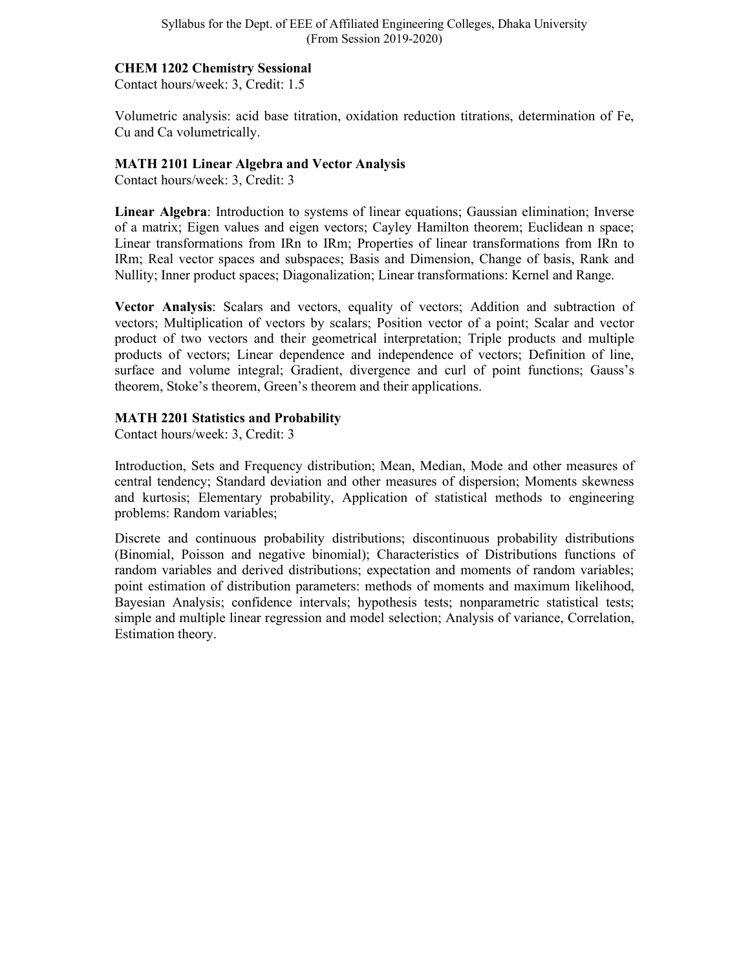#### **CHEM 1202 Chemistry Sessional**

Contact hours/week: 3, Credit: 1.5

Volumetric analysis: acid base titration, oxidation reduction titrations, determination of Fe, Cu and Ca volumetrically.

#### **MATH 2101 Linear Algebra and Vector Analysis**

Contact hours/week: 3, Credit: 3

**Linear Algebra**: Introduction to systems of linear equations; Gaussian elimination; Inverse of a matrix; Eigen values and eigen vectors; Cayley Hamilton theorem; Euclidean n space; Linear transformations from IRn to IRm; Properties of linear transformations from IRn to IRm; Real vector spaces and subspaces; Basis and Dimension, Change of basis, Rank and Nullity; Inner product spaces; Diagonalization; Linear transformations: Kernel and Range.

**Vector Analysis**: Scalars and vectors, equality of vectors; Addition and subtraction of vectors; Multiplication of vectors by scalars; Position vector of a point; Scalar and vector product of two vectors and their geometrical interpretation; Triple products and multiple products of vectors; Linear dependence and independence of vectors; Definition of line, surface and volume integral; Gradient, divergence and curl of point functions; Gauss's theorem, Stoke's theorem, Green's theorem and their applications.

#### **MATH 2201 Statistics and Probability**

Contact hours/week: 3, Credit: 3

Introduction, Sets and Frequency distribution; Mean, Median, Mode and other measures of central tendency; Standard deviation and other measures of dispersion; Moments skewness and kurtosis; Elementary probability, Application of statistical methods to engineering problems: Random variables;

Discrete and continuous probability distributions; discontinuous probability distributions (Binomial, Poisson and negative binomial); Characteristics of Distributions functions of random variables and derived distributions; expectation and moments of random variables; point estimation of distribution parameters: methods of moments and maximum likelihood, Bayesian Analysis; confidence intervals; hypothesis tests; nonparametric statistical tests; simple and multiple linear regression and model selection; Analysis of variance, Correlation, Estimation theory.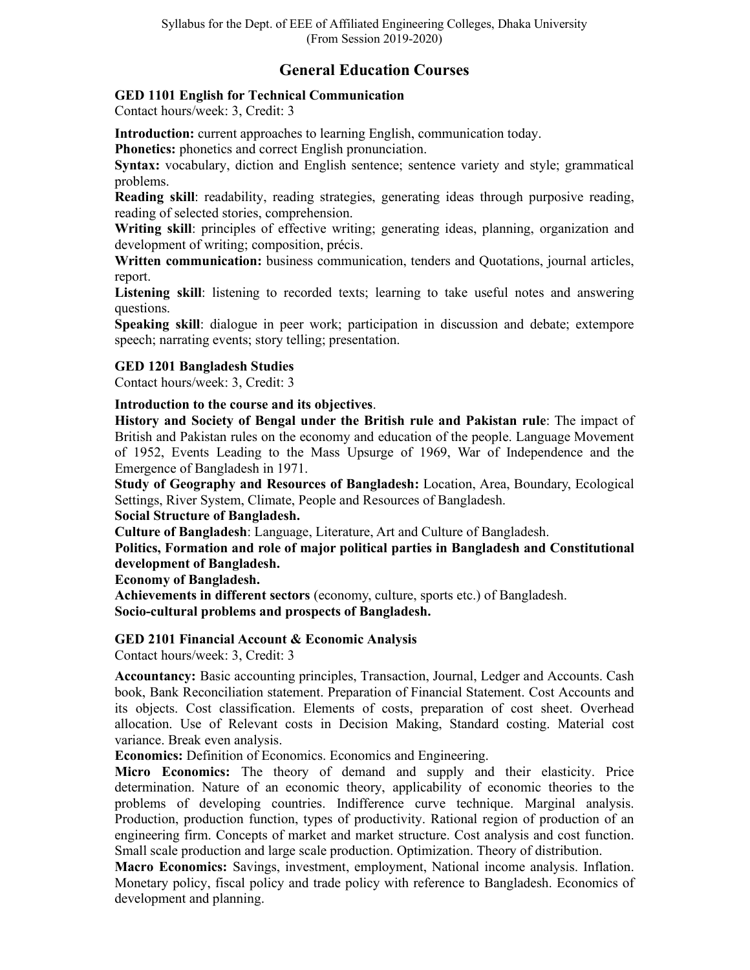# **General Education Courses**

## **GED 1101 English for Technical Communication**

Contact hours/week: 3, Credit: 3

**Introduction:** current approaches to learning English, communication today.

**Phonetics:** phonetics and correct English pronunciation.

**Syntax:** vocabulary, diction and English sentence; sentence variety and style; grammatical problems.

**Reading skill**: readability, reading strategies, generating ideas through purposive reading, reading of selected stories, comprehension.

**Writing skill**: principles of effective writing; generating ideas, planning, organization and development of writing; composition, précis.

**Written communication:** business communication, tenders and Quotations, journal articles, report.

**Listening skill**: listening to recorded texts; learning to take useful notes and answering questions.

**Speaking skill**: dialogue in peer work; participation in discussion and debate; extempore speech; narrating events; story telling; presentation.

## **GED 1201 Bangladesh Studies**

Contact hours/week: 3, Credit: 3

## **Introduction to the course and its objectives**.

**History and Society of Bengal under the British rule and Pakistan rule**: The impact of British and Pakistan rules on the economy and education of the people. Language Movement of 1952, Events Leading to the Mass Upsurge of 1969, War of Independence and the Emergence of Bangladesh in 1971.

**Study of Geography and Resources of Bangladesh:** Location, Area, Boundary, Ecological Settings, River System, Climate, People and Resources of Bangladesh.

## **Social Structure of Bangladesh.**

**Culture of Bangladesh**: Language, Literature, Art and Culture of Bangladesh.

**Politics, Formation and role of major political parties in Bangladesh and Constitutional development of Bangladesh.** 

**Economy of Bangladesh.** 

**Achievements in different sectors** (economy, culture, sports etc.) of Bangladesh. **Socio-cultural problems and prospects of Bangladesh.**

## **GED 2101 Financial Account & Economic Analysis**

Contact hours/week: 3, Credit: 3

**Accountancy:** Basic accounting principles, Transaction, Journal, Ledger and Accounts. Cash book, Bank Reconciliation statement. Preparation of Financial Statement. Cost Accounts and its objects. Cost classification. Elements of costs, preparation of cost sheet. Overhead allocation. Use of Relevant costs in Decision Making, Standard costing. Material cost variance. Break even analysis.

**Economics:** Definition of Economics. Economics and Engineering.

**Micro Economics:** The theory of demand and supply and their elasticity. Price determination. Nature of an economic theory, applicability of economic theories to the problems of developing countries. Indifference curve technique. Marginal analysis. Production, production function, types of productivity. Rational region of production of an engineering firm. Concepts of market and market structure. Cost analysis and cost function. Small scale production and large scale production. Optimization. Theory of distribution.

**Macro Economics:** Savings, investment, employment, National income analysis. Inflation. Monetary policy, fiscal policy and trade policy with reference to Bangladesh. Economics of development and planning.